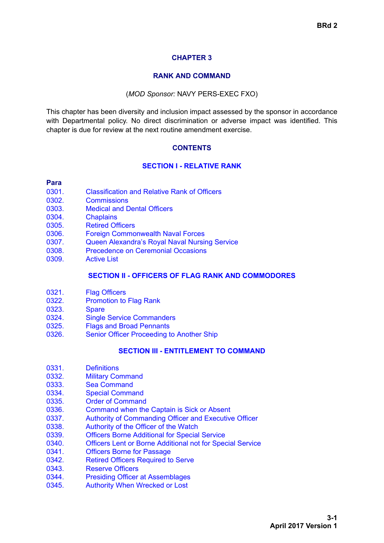# <span id="page-0-1"></span>**CHAPTER 3**

#### **RANK AND COMMAND**

#### (*MOD Sponsor:* NAVY PERS-EXEC FXO)

<span id="page-0-0"></span>This chapter has been diversity and inclusion impact assessed by the sponsor in accordance with Departmental policy. No direct discrimination or adverse impact was identified. This chapter is due for review at the next routine amendment exercise.

### **CONTENTS**

#### **[SECTION I - RELATIVE RANK](#page-2-0)**

#### **Para**

- [0301. Classification and Relative Rank of Officers](#page-2-1)
- [0302. Commissions](#page-3-0)
- [0303. Medical and Dental Officers](#page-3-1)
- [0304. Chaplains](#page-3-2)
- [0305. Retired Officers](#page-3-3)
- [0306. Foreign Commonwealth Naval Forces](#page-3-4)
- [0307. Queen Alexandra's Royal Naval Nursing Service](#page-3-5)
- [0308. Precedence on Ceremonial Occasions](#page-4-0)
- [0309. Active List](#page-4-1)

#### **[SECTION II - OFFICERS OF FLAG RANK AND COMMODORES](#page-4-2)**

- [0321. Flag Officers](#page-4-3)
- [0322. Promotion to Flag Rank](#page-4-4)
- [0323. Spare](#page-4-5)
- [0324. Single Service Commanders](#page-5-0)
- [0325. Flags and Broad Pennants](#page-5-1)
- [0326. Senior Officer Proceeding to Another Ship](#page-6-0)

#### **[SECTION III - ENTITLEMENT TO COMMAND](#page-6-1)**

- [0331. Definitions](#page-6-2)
- [0332. Military Command](#page-7-0)
- [0333. Sea Command](#page-7-1)
- [0334. Special Command](#page-8-0)
- [0335. Order of Command](#page-8-1)
- [0336. Command when the Captain is Sick or Absent](#page-10-0)
- [0337. Authority of Commanding Officer and Executive Officer](#page-10-1)
- [0338. Authority of the Officer of the Watch](#page-11-0)
- [0339. Officers Borne Additional for Special Service](#page-11-1)
- [0340. Officers Lent or Borne Additional not for Special Service](#page-11-2)
- [0341. Officers Borne for Passage](#page-11-3)
- [0342. Retired Officers Required to Serve](#page-11-4)
- [0343. Reserve Officers](#page-12-0)
- [0344. Presiding Officer at Assemblages](#page-12-1)
- [0345. Authority When Wrecked or Lost](#page-13-0)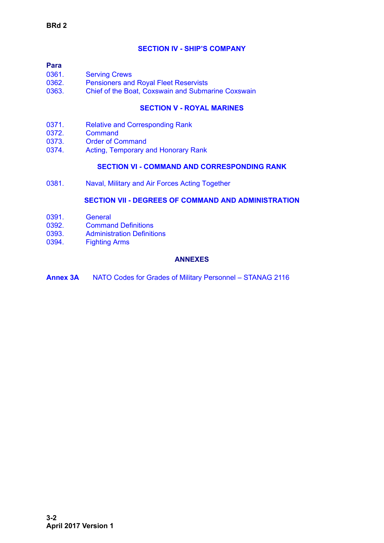# **[SECTION IV - SHIP'S COMPANY](#page-13-1)**

| Para  |                                              |
|-------|----------------------------------------------|
| 0361. | <b>Serving Crews</b>                         |
| 0362. | <b>Pensioners and Royal Fleet Reservists</b> |

[0363. Chief of the Boat, Coxswain and Submarine Coxswain](#page-14-1)

# **[SECTION V - ROYAL MARINES](#page-14-2)**

- [0371. Relative and Corresponding Rank](#page-14-3)
- [0372. Command](#page-14-4)
- [0373. Order of Command](#page-15-0)
- [0374. Acting, Temporary and Honorary Rank](#page-15-1)

#### **[SECTION VI - COMMAND AND CORRESPONDING RANK](#page-16-0)**

[0381. Naval, Military and Air Forces Acting Together](#page-16-1)

### **[SECTION VII - DEGREES OF COMMAND AND ADMINISTRATION](#page-21-0)**

- [0391. General](#page-21-1)
- [0392. Command Definitions](#page-21-2)
- [0393. Administration Definitions](#page-23-0)
- [0394. Fighting Arms](#page-24-0)

### **ANNEXES**

**[Annex 3A](#page-25-0)** NATO Codes for Grades of Military Personnel – STANAG 2116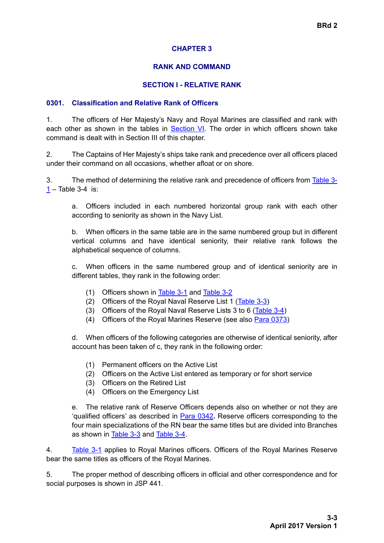# **CHAPTER 3**

# **RANK AND COMMAND**

### **SECTION I - RELATIVE RANK**

### <span id="page-2-1"></span><span id="page-2-0"></span>**0301. Classification and Relative Rank of Officers**

1. The officers of Her Majesty's Navy and Royal Marines are classified and rank with each other as shown in the tables in [Section VI.](#page-16-0) The order in which officers shown take command is dealt with in Section III of this chapter.

<span id="page-2-4"></span>2. The Captains of Her Majesty's ships take rank and precedence over all officers placed under their command on all occasions, whether afloat or on shore.

<span id="page-2-2"></span>3. The method of determining the relative rank and precedence of officers from [Table 3-](#page-16-2)  $1 1 -$ Table 3-4 is:

a. Officers included in each numbered horizontal group rank with each other according to seniority as shown in the Navy List.

b. When officers in the same table are in the same numbered group but in different vertical columns and have identical seniority, their relative rank follows the alphabetical sequence of columns.

c. When officers in the same numbered group and of identical seniority are in different tables, they rank in the following order:

- (1) Officers shown in [Table 3-1](#page-16-2) and [Table 3-2](#page-19-0)
- (2) Officers of the Royal Naval Reserve List 1 ([Table 3-3](#page-19-1))
- (3) Officers of the Royal Naval Reserve Lists 3 to 6 ([Table 3-4\)](#page-20-0)
- (4) Officers of the Royal Marines Reserve (see also [Para 0373](#page-15-0))

d. When officers of the following categories are otherwise of identical seniority, after account has been taken of c, they rank in the following order:

- (1) Permanent officers on the Active List
- (2) Officers on the Active List entered as temporary or for short service
- (3) Officers on the Retired List
- (4) Officers on the Emergency List

e. The relative rank of Reserve Officers depends also on whether or not they are 'qualified officers' as described in [Para 0342](#page-11-4)**.** Reserve officers corresponding to the four main specializations of the RN bear the same titles but are divided into Branches as shown in [Table 3-3](#page-19-1) and [Table 3-4](#page-20-0).

<span id="page-2-3"></span>4. [Table 3-1](#page-16-2) applies to Royal Marines officers. Officers of the Royal Marines Reserve bear the same titles as officers of the Royal Marines.

5. The proper method of describing officers in official and other correspondence and for social purposes is shown in JSP 441.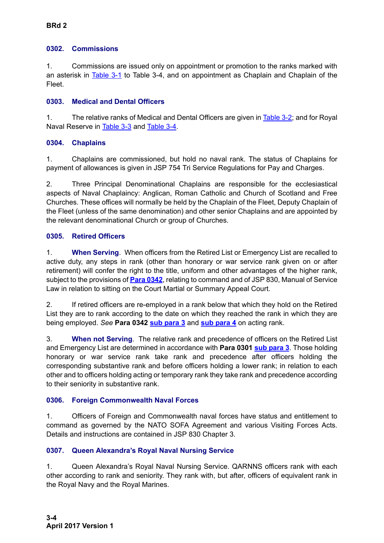# <span id="page-3-0"></span>**0302. Commissions**

1. Commissions are issued only on appointment or promotion to the ranks marked with an asterisk in [Table 3-1](#page-16-2) to [Table 3-4](#page-20-0), and on appointment as Chaplain and Chaplain of the Fleet.

# <span id="page-3-1"></span>**0303. Medical and Dental Officers**

1. The relative ranks of Medical and Dental Officers are given in [Table 3-2;](#page-19-0) and for Royal Naval Reserve in [Table 3-3](#page-19-1) and [Table 3-4](#page-20-0).

# <span id="page-3-2"></span>**0304. Chaplains**

1. Chaplains are commissioned, but hold no naval rank. The status of Chaplains for payment of allowances is given in JSP 754 Tri Service Regulations for Pay and Charges.

2. Three Principal Denominational Chaplains are responsible for the ecclesiastical aspects of Naval Chaplaincy: Anglican, Roman Catholic and Church of Scotland and Free Churches. These offices will normally be held by the Chaplain of the Fleet, Deputy Chaplain of the Fleet (unless of the same denomination) and other senior Chaplains and are appointed by the relevant denominational Church or group of Churches.

# <span id="page-3-3"></span>**0305. Retired Officers**

1. **When Serving**. When officers from the Retired List or Emergency List are recalled to active duty, any steps in rank (other than honorary or war service rank given on or after retirement) will confer the right to the title, uniform and other advantages of the higher rank, subject to the provisions of **[Para 0342](#page-11-4)**, relating to command and of JSP 830, Manual of Service Law in relation to sitting on the Court Martial or Summary Appeal Court.

2. If retired officers are re-employed in a rank below that which they hold on the Retired List they are to rank according to the date on which they reached the rank in which they are being employed. *See* **[Para 0342](#page-11-5) [sub para 3](#page-12-2)** and **[sub para 4](#page-12-2)** on acting rank.

3. **When not Serving**. The relative rank and precedence of officers on the Retired List and Emergency List are determined in accordance with **[Para 0301](#page-2-1) [sub para 3](#page-2-2)**. Those holding honorary or war service rank take rank and precedence after officers holding the corresponding substantive rank and before officers holding a lower rank; in relation to each other and to officers holding acting or temporary rank they take rank and precedence according to their seniority in substantive rank.

# <span id="page-3-4"></span>**0306. Foreign Commonwealth Naval Forces**

1. Officers of Foreign and Commonwealth naval forces have status and entitlement to command as governed by the NATO SOFA Agreement and various Visiting Forces Acts. Details and instructions are contained in JSP 830 Chapter 3.

# <span id="page-3-5"></span>**0307. Queen Alexandra's Royal Naval Nursing Service**

1. Queen Alexandra's Royal Naval Nursing Service. QARNNS officers rank with each other according to rank and seniority. They rank with, but after, officers of equivalent rank in the Royal Navy and the Royal Marines.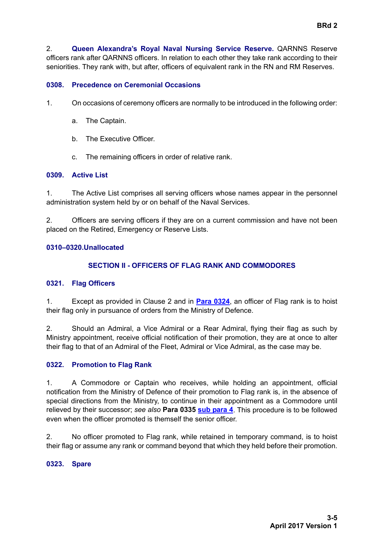**BRd 2**

2. **Queen Alexandra's Royal Naval Nursing Service Reserve.** QARNNS Reserve officers rank after QARNNS officers. In relation to each other they take rank according to their

seniorities. They rank with, but after, officers of equivalent rank in the RN and RM Reserves.

#### <span id="page-4-0"></span>**0308. Precedence on Ceremonial Occasions**

- 1. On occasions of ceremony officers are normally to be introduced in the following order:
	- a. The Captain.
	- b. The Executive Officer.
	- c. The remaining officers in order of relative rank.

### <span id="page-4-1"></span>**0309. Active List**

1. The Active List comprises all serving officers whose names appear in the personnel administration system held by or on behalf of the Naval Services.

2. Officers are serving officers if they are on a current commission and have not been placed on the Retired, Emergency or Reserve Lists.

### <span id="page-4-2"></span>**0310–0320.Unallocated**

# **SECTION II - OFFICERS OF FLAG RANK AND COMMODORES**

#### <span id="page-4-3"></span>**0321. Flag Officers**

1. Except as provided in Clause 2 and in **[Para 0324](#page-5-2)**, an officer of Flag rank is to hoist their flag only in pursuance of orders from the Ministry of Defence.

<span id="page-4-6"></span>2. Should an Admiral, a Vice Admiral or a Rear Admiral, flying their flag as such by Ministry appointment, receive official notification of their promotion, they are at once to alter their flag to that of an Admiral of the Fleet, Admiral or Vice Admiral, as the case may be.

#### <span id="page-4-4"></span>**0322. Promotion to Flag Rank**

1. A Commodore or Captain who receives, while holding an appointment, official notification from the Ministry of Defence of their promotion to Flag rank is, in the absence of special directions from the Ministry, to continue in their appointment as a Commodore until relieved by their successor; *see also* **[Para 0335](#page-8-1) [sub para 4](#page-10-2)**. This procedure is to be followed even when the officer promoted is themself the senior officer.

2. No officer promoted to Flag rank, while retained in temporary command, is to hoist their flag or assume any rank or command beyond that which they held before their promotion.

#### <span id="page-4-5"></span>**0323. Spare**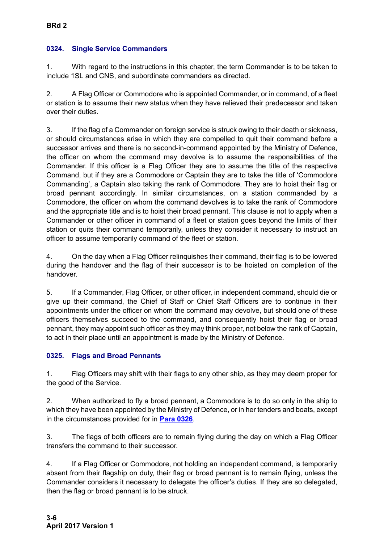# <span id="page-5-2"></span><span id="page-5-0"></span>**0324. Single Service Commanders**

1. With regard to the instructions in this chapter, the term Commander is to be taken to include 1SL and CNS, and subordinate commanders as directed.

2. A Flag Officer or Commodore who is appointed Commander, or in command, of a fleet or station is to assume their new status when they have relieved their predecessor and taken over their duties.

3. If the flag of a Commander on foreign service is struck owing to their death or sickness, or should circumstances arise in which they are compelled to quit their command before a successor arrives and there is no second-in-command appointed by the Ministry of Defence, the officer on whom the command may devolve is to assume the responsibilities of the Commander. If this officer is a Flag Officer they are to assume the title of the respective Command, but if they are a Commodore or Captain they are to take the title of 'Commodore Commanding', a Captain also taking the rank of Commodore. They are to hoist their flag or broad pennant accordingly. In similar circumstances, on a station commanded by a Commodore, the officer on whom the command devolves is to take the rank of Commodore and the appropriate title and is to hoist their broad pennant. This clause is not to apply when a Commander or other officer in command of a fleet or station goes beyond the limits of their station or quits their command temporarily, unless they consider it necessary to instruct an officer to assume temporarily command of the fleet or station.

4. On the day when a Flag Officer relinquishes their command, their flag is to be lowered during the handover and the flag of their successor is to be hoisted on completion of the handover.

5. If a Commander, Flag Officer, or other officer, in independent command, should die or give up their command, the Chief of Staff or Chief Staff Officers are to continue in their appointments under the officer on whom the command may devolve, but should one of these officers themselves succeed to the command, and consequently hoist their flag or broad pennant, they may appoint such officer as they may think proper, not below the rank of Captain, to act in their place until an appointment is made by the Ministry of Defence.

# <span id="page-5-1"></span>**0325. Flags and Broad Pennants**

1. Flag Officers may shift with their flags to any other ship, as they may deem proper for the good of the Service.

2. When authorized to fly a broad pennant, a Commodore is to do so only in the ship to which they have been appointed by the Ministry of Defence, or in her tenders and boats, except in the circumstances provided for in **[Para 0326](#page-6-0)**.

3. The flags of both officers are to remain flying during the day on which a Flag Officer transfers the command to their successor.

4. If a Flag Officer or Commodore, not holding an independent command, is temporarily absent from their flagship on duty, their flag or broad pennant is to remain flying, unless the Commander considers it necessary to delegate the officer's duties. If they are so delegated, then the flag or broad pennant is to be struck.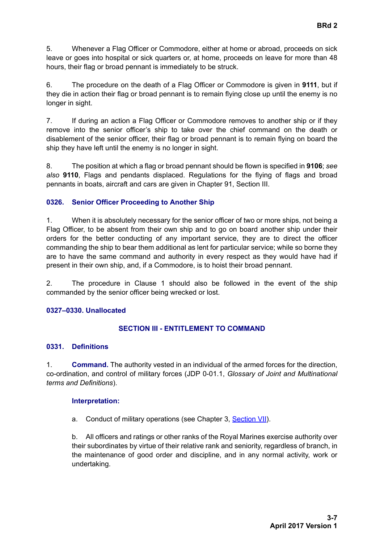5. Whenever a Flag Officer or Commodore, either at home or abroad, proceeds on sick leave or goes into hospital or sick quarters or, at home, proceeds on leave for more than 48 hours, their flag or broad pennant is immediately to be struck.

6. The procedure on the death of a Flag Officer or Commodore is given in **9111**, but if they die in action their flag or broad pennant is to remain flying close up until the enemy is no longer in sight.

7. If during an action a Flag Officer or Commodore removes to another ship or if they remove into the senior officer's ship to take over the chief command on the death or disablement of the senior officer, their flag or broad pennant is to remain flying on board the ship they have left until the enemy is no longer in sight.

8. The position at which a flag or broad pennant should be flown is specified in **9106**; *see also* **9110**, Flags and pendants displaced. Regulations for the flying of flags and broad pennants in boats, aircraft and cars are given in Chapter 91, Section III.

# <span id="page-6-0"></span>**0326. Senior Officer Proceeding to Another Ship**

1. When it is absolutely necessary for the senior officer of two or more ships, not being a Flag Officer, to be absent from their own ship and to go on board another ship under their orders for the better conducting of any important service, they are to direct the officer commanding the ship to bear them additional as lent for particular service; while so borne they are to have the same command and authority in every respect as they would have had if present in their own ship, and, if a Commodore, is to hoist their broad pennant.

2. The procedure in Clause 1 should also be followed in the event of the ship commanded by the senior officer being wrecked or lost.

# <span id="page-6-1"></span>**0327–0330. Unallocated**

# **SECTION III - ENTITLEMENT TO COMMAND**

# <span id="page-6-2"></span>**0331. Definitions**

1. **Command.** The authority vested in an individual of the armed forces for the direction, co-ordination, and control of military forces (JDP 0-01.1, *Glossary of Joint and Multinational terms and Definitions*).

#### **Interpretation:**

a. Conduct of military operations (see [Chapter 3,](#page-0-0) [Section VII](#page-21-0)).

b. All officers and ratings or other ranks of the Royal Marines exercise authority over their subordinates by virtue of their relative rank and seniority, regardless of branch, in the maintenance of good order and discipline, and in any normal activity, work or undertaking.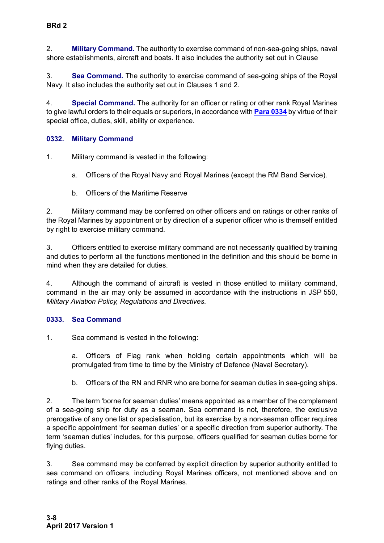2. **Military Command.** The authority to exercise command of non-sea-going ships, naval shore establishments, aircraft and boats. It also includes the authority set out in Clause

3. **Sea Command.** The authority to exercise command of sea-going ships of the Royal Navy. It also includes the authority set out in Clauses 1 and 2.

4. **Special Command.** The authority for an officer or rating or other rank Royal Marines to give lawful orders to their equals or superiors, in accordance with **[Para 0334](#page-8-0)** by virtue of their special office, duties, skill, ability or experience.

# <span id="page-7-0"></span>**0332. Military Command**

<span id="page-7-3"></span>1. Military command is vested in the following:

a. Officers of the Royal Navy and Royal Marines (except the RM Band Service).

b. Officers of the Maritime Reserve

<span id="page-7-4"></span>2. Military command may be conferred on other officers and on ratings or other ranks of the Royal Marines by appointment or by direction of a superior officer who is themself entitled by right to exercise military command.

3. Officers entitled to exercise military command are not necessarily qualified by training and duties to perform all the functions mentioned in the definition and this should be borne in mind when they are detailed for duties.

<span id="page-7-2"></span>4. Although the command of aircraft is vested in those entitled to military command, command in the air may only be assumed in accordance with the instructions in JSP 550, *Military Aviation Policy, Regulations and Directives.*

# <span id="page-7-1"></span>**0333. Sea Command**

1. Sea command is vested in the following:

a. Officers of Flag rank when holding certain appointments which will be promulgated from time to time by the Ministry of Defence (Naval Secretary).

b. Officers of the RN and RNR who are borne for seaman duties in sea-going ships.

2. The term 'borne for seaman duties' means appointed as a member of the complement of a sea-going ship for duty as a seaman. Sea command is not, therefore, the exclusive prerogative of any one list or specialisation, but its exercise by a non-seaman officer requires a specific appointment 'for seaman duties' or a specific direction from superior authority. The term 'seaman duties' includes, for this purpose, officers qualified for seaman duties borne for flying duties.

<span id="page-7-5"></span>3. Sea command may be conferred by explicit direction by superior authority entitled to sea command on officers, including Royal Marines officers, not mentioned above and on ratings and other ranks of the Royal Marines.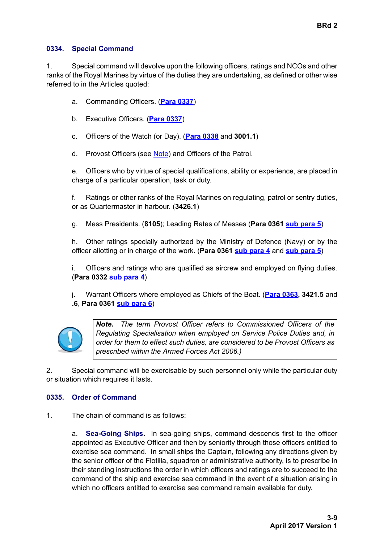#### <span id="page-8-0"></span>**0334. Special Command**

1. Special command will devolve upon the following officers, ratings and NCOs and other ranks of the Royal Marines by virtue of the duties they are undertaking, as defined or other wise referred to in the Articles quoted:

- a. Commanding Officers. (**[Para 0337](#page-10-1)**)
- b. Executive Officers. (**[Para 0337](#page-10-1)**)
- c. Officers of the Watch (or Day). (**[Para 0338](#page-11-0)** and **3001.1**)
- d. Provost Officers (see [Note](#page-8-2)) and Officers of the Patrol.

e. Officers who by virtue of special qualifications, ability or experience, are placed in charge of a particular operation, task or duty.

f. Ratings or other ranks of the Royal Marines on regulating, patrol or sentry duties, or as Quartermaster in harbour. (**3426.1**)

g. Mess Presidents. (**8105**); Leading Rates of Messes (**[Para 0361](#page-13-2) [sub para 5](#page-13-3)**)

h. Other ratings specially authorized by the Ministry of Defence (Navy) or by the officer allotting or in charge of the work. (**[Para 0361](#page-13-2) [sub para 4](#page-13-4)** and **[sub para 5](#page-13-3)**)

i. Officers and ratings who are qualified as aircrew and employed on flying duties. (**[Para 0332](#page-7-0) [sub para 4](#page-7-2)**)

j. Warrant Officers where employed as Chiefs of the Boat. (**[Para 0363](#page-14-1), 3421.5** and **.6**, **[Para 0361](#page-13-2) [sub para 6](#page-13-5)**)



<span id="page-8-2"></span>*Note. The term Provost Officer refers to Commissioned Officers of the Regulating Specialisation when employed on Service Police Duties and, in order for them to effect such duties, are considered to be Provost Officers as prescribed within the Armed Forces Act 2006.)*

2. Special command will be exercisable by such personnel only while the particular duty or situation which requires it lasts.

# <span id="page-8-1"></span>**0335. Order of Command**

1. The chain of command is as follows:

a. **Sea-Going Ships.** In sea-going ships, command descends first to the officer appointed as Executive Officer and then by seniority through those officers entitled to exercise sea command. In small ships the Captain, following any directions given by the senior officer of the Flotilla, squadron or administrative authority, is to prescribe in their standing instructions the order in which officers and ratings are to succeed to the command of the ship and exercise sea command in the event of a situation arising in which no officers entitled to exercise sea command remain available for duty.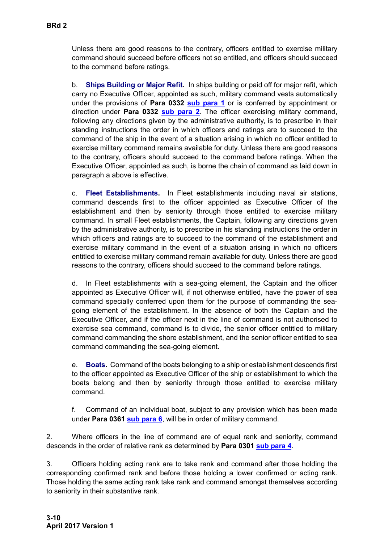Unless there are good reasons to the contrary, officers entitled to exercise military command should succeed before officers not so entitled, and officers should succeed to the command before ratings.

b. **Ships Building or Major Refit.** In ships building or paid off for major refit, which carry no Executive Officer, appointed as such, military command vests automatically under the provisions of **[Para 0332](#page-7-0) [sub para 1](#page-7-3)** or is conferred by appointment or direction under **[Para 0332](#page-7-0) [sub para 2](#page-7-4)**. The officer exercising military command, following any directions given by the administrative authority, is to prescribe in their standing instructions the order in which officers and ratings are to succeed to the command of the ship in the event of a situation arising in which no officer entitled to exercise military command remains available for duty. Unless there are good reasons to the contrary, officers should succeed to the command before ratings. When the Executive Officer, appointed as such, is borne the chain of command as laid down in paragraph a above is effective.

c. **Fleet Establishments.** In Fleet establishments including naval air stations, command descends first to the officer appointed as Executive Officer of the establishment and then by seniority through those entitled to exercise military command. In small Fleet establishments, the Captain, following any directions given by the administrative authority, is to prescribe in his standing instructions the order in which officers and ratings are to succeed to the command of the establishment and exercise military command in the event of a situation arising in which no officers entitled to exercise military command remain available for duty. Unless there are good reasons to the contrary, officers should succeed to the command before ratings.

d. In Fleet establishments with a sea-going element, the Captain and the officer appointed as Executive Officer will, if not otherwise entitled, have the power of sea command specially conferred upon them for the purpose of commanding the seagoing element of the establishment. In the absence of both the Captain and the Executive Officer, and if the officer next in the line of command is not authorised to exercise sea command, command is to divide, the senior officer entitled to military command commanding the shore establishment, and the senior officer entitled to sea command commanding the sea-going element.

e. **Boats.** Command of the boats belonging to a ship or establishment descends first to the officer appointed as Executive Officer of the ship or establishment to which the boats belong and then by seniority through those entitled to exercise military command.

f. Command of an individual boat, subject to any provision which has been made under **[Para 0361](#page-13-2) [sub para 6](#page-13-5)**, will be in order of military command.

2. Where officers in the line of command are of equal rank and seniority, command descends in the order of relative rank as determined by **[Para 0301](#page-2-1) [sub para 4](#page-2-3)**.

<span id="page-9-0"></span>3. Officers holding acting rank are to take rank and command after those holding the corresponding confirmed rank and before those holding a lower confirmed or acting rank. Those holding the same acting rank take rank and command amongst themselves according to seniority in their substantive rank.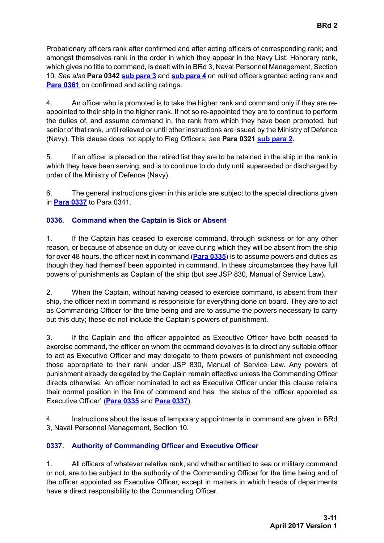Probationary officers rank after confirmed and after acting officers of corresponding rank; and amongst themselves rank in the order in which they appear in the Navy List. Honorary rank, which gives no title to command, is dealt with in BRd 3, Naval Personnel Management, Section 10*. See also* **[Para 0342](#page-11-5) [sub para 3](#page-12-2)** and **[sub para 4](#page-12-2)** on retired officers granted acting rank and **[Para 0361](#page-13-2)** on confirmed and acting ratings.

<span id="page-10-2"></span>4. An officer who is promoted is to take the higher rank and command only if they are reappointed to their ship in the higher rank. If not so re-appointed they are to continue to perform the duties of, and assume command in, the rank from which they have been promoted, but senior of that rank, until relieved or until other instructions are issued by the Ministry of Defence (Navy). This clause does not apply to Flag Officers; *see* **[Para 0321](#page-4-3) [sub para 2](#page-4-6)**.

5. If an officer is placed on the retired list they are to be retained in the ship in the rank in which they have been serving, and is to continue to do duty until superseded or discharged by order of the Ministry of Defence (Navy).

6. The general instructions given in this article are subject to the special directions given in **[Para 0337](#page-10-1)** to [Para 0341.](#page-11-3)

# <span id="page-10-0"></span>**0336. Command when the Captain is Sick or Absent**

1. If the Captain has ceased to exercise command, through sickness or for any other reason, or because of absence on duty or leave during which they will be absent from the ship for over 48 hours, the officer next in command (**[Para 0335](#page-8-1)**) is to assume powers and duties as though they had themself been appointed in command. In these circumstances they have full powers of punishments as Captain of the ship (but *see* JSP 830, Manual of Service Law).

2. When the Captain, without having ceased to exercise command, is absent from their ship, the officer next in command is responsible for everything done on board. They are to act as Commanding Officer for the time being and are to assume the powers necessary to carry out this duty; these do not include the Captain's powers of punishment.

3. If the Captain and the officer appointed as Executive Officer have both ceased to exercise command, the officer on whom the command devolves is to direct any suitable officer to act as Executive Officer and may delegate to them powers of punishment not exceeding those appropriate to their rank under JSP 830, Manual of Service Law*.* Any powers of punishment already delegated by the Captain remain effective unless the Commanding Officer directs otherwise. An officer nominated to act as Executive Officer under this clause retains their normal position in the line of command and has the status of the 'officer appointed as Executive Officer' (**[Para 0335](#page-8-1)** and **[Para 0337](#page-10-1)**).

4. Instructions about the issue of temporary appointments in command are given in BRd 3, Naval Personnel Management, Section 10*.*

# <span id="page-10-1"></span>**0337. Authority of Commanding Officer and Executive Officer**

1. All officers of whatever relative rank, and whether entitled to sea or military command or not, are to be subject to the authority of the Commanding Officer for the time being and of the officer appointed as Executive Officer, except in matters in which heads of departments have a direct responsibility to the Commanding Officer.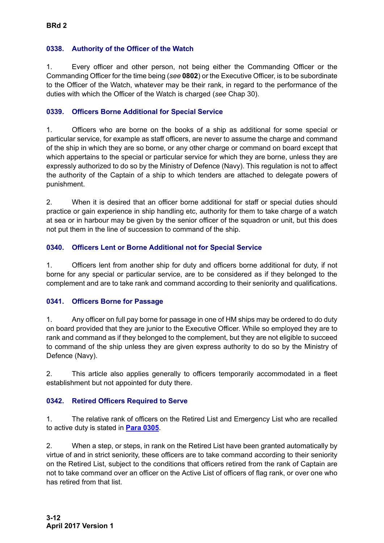# <span id="page-11-5"></span><span id="page-11-0"></span>**0338. Authority of the Officer of the Watch**

1. Every officer and other person, not being either the Commanding Officer or the Commanding Officer for the time being (*see* **0802**) or the Executive Officer, is to be subordinate to the Officer of the Watch, whatever may be their rank, in regard to the performance of the duties with which the Officer of the Watch is charged (*see* Chap 30).

# <span id="page-11-1"></span>**0339. Officers Borne Additional for Special Service**

1. Officers who are borne on the books of a ship as additional for some special or particular service, for example as staff officers, are never to assume the charge and command of the ship in which they are so borne, or any other charge or command on board except that which appertains to the special or particular service for which they are borne, unless they are expressly authorized to do so by the Ministry of Defence (Navy). This regulation is not to affect the authority of the Captain of a ship to which tenders are attached to delegate powers of punishment.

2. When it is desired that an officer borne additional for staff or special duties should practice or gain experience in ship handling etc, authority for them to take charge of a watch at sea or in harbour may be given by the senior officer of the squadron or unit, but this does not put them in the line of succession to command of the ship.

# <span id="page-11-2"></span>**0340. Officers Lent or Borne Additional not for Special Service**

1. Officers lent from another ship for duty and officers borne additional for duty, if not borne for any special or particular service, are to be considered as if they belonged to the complement and are to take rank and command according to their seniority and qualifications.

# <span id="page-11-3"></span>**0341. Officers Borne for Passage**

1. Any officer on full pay borne for passage in one of HM ships may be ordered to do duty on board provided that they are junior to the Executive Officer. While so employed they are to rank and command as if they belonged to the complement, but they are not eligible to succeed to command of the ship unless they are given express authority to do so by the Ministry of Defence (Navy).

2. This article also applies generally to officers temporarily accommodated in a fleet establishment but not appointed for duty there.

# <span id="page-11-4"></span>**0342. Retired Officers Required to Serve**

1. The relative rank of officers on the Retired List and Emergency List who are recalled to active duty is stated in **[Para 0305](#page-3-3)**.

2. When a step, or steps, in rank on the Retired List have been granted automatically by virtue of and in strict seniority, these officers are to take command according to their seniority on the Retired List, subject to the conditions that officers retired from the rank of Captain are not to take command over an officer on the Active List of officers of flag rank, or over one who has retired from that list.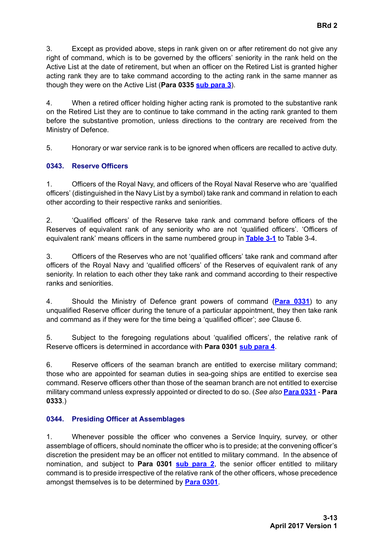<span id="page-12-3"></span><span id="page-12-2"></span>3. Except as provided above, steps in rank given on or after retirement do not give any right of command, which is to be governed by the officers' seniority in the rank held on the Active List at the date of retirement, but when an officer on the Retired List is granted higher acting rank they are to take command according to the acting rank in the same manner as though they were on the Active List (**[Para 0335](#page-8-1) [sub para 3](#page-9-0)**).

4. When a retired officer holding higher acting rank is promoted to the substantive rank on the Retired List they are to continue to take command in the acting rank granted to them before the substantive promotion, unless directions to the contrary are received from the Ministry of Defence.

5. Honorary or war service rank is to be ignored when officers are recalled to active duty.

# <span id="page-12-0"></span>**0343. Reserve Officers**

1. Officers of the Royal Navy, and officers of the Royal Naval Reserve who are 'qualified officers' (distinguished in the Navy List by a symbol) take rank and command in relation to each other according to their respective ranks and seniorities.

2. 'Qualified officers' of the Reserve take rank and command before officers of the Reserves of equivalent rank of any seniority who are not 'qualified officers'. 'Officers of equivalent rank' means officers in the same numbered group in **[Table 3-1](#page-16-2)** to [Table 3-4.](#page-20-0)

3. Officers of the Reserves who are not 'qualified officers' take rank and command after officers of the Royal Navy and 'qualified officers' of the Reserves of equivalent rank of any seniority. In relation to each other they take rank and command according to their respective ranks and seniorities.

4. Should the Ministry of Defence grant powers of command (**[Para 0331](#page-6-2)**) to any unqualified Reserve officer during the tenure of a particular appointment, they then take rank and command as if they were for the time being a 'qualified officer'; *see* Clause 6.

5. Subject to the foregoing regulations about 'qualified officers', the relative rank of Reserve officers is determined in accordance with **[Para 0301](#page-2-1) [sub para 4](#page-2-3)**.

<span id="page-12-4"></span>6. Reserve officers of the seaman branch are entitled to exercise military command; those who are appointed for seaman duties in sea-going ships are entitled to exercise sea command. Reserve officers other than those of the seaman branch are not entitled to exercise military command unless expressly appointed or directed to do so. (*See also* **[Para 0331](#page-6-2)** - **[Para](#page-7-1) [0333](#page-7-1)**.)

# <span id="page-12-1"></span>**0344. Presiding Officer at Assemblages**

1. Whenever possible the officer who convenes a Service Inquiry, survey, or other assemblage of officers, should nominate the officer who is to preside; at the convening officer's discretion the president may be an officer not entitled to military command. In the absence of nomination, and subject to **[Para 0301](#page-2-1) [sub para 2](#page-2-4)**, the senior officer entitled to military command is to preside irrespective of the relative rank of the other officers, whose precedence amongst themselves is to be determined by **[Para 0301](#page-2-1)**.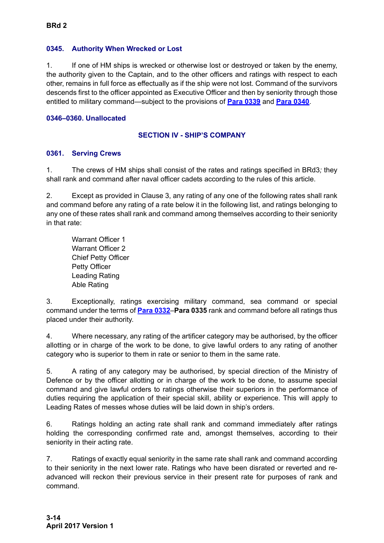#### <span id="page-13-0"></span>**0345. Authority When Wrecked or Lost**

1. If one of HM ships is wrecked or otherwise lost or destroyed or taken by the enemy, the authority given to the Captain, and to the other officers and ratings with respect to each other, remains in full force as effectually as if the ship were not lost. Command of the survivors descends first to the officer appointed as Executive Officer and then by seniority through those entitled to military command—subject to the provisions of **[Para 0339](#page-11-1)** and **[Para 0340](#page-11-2)**.

### <span id="page-13-1"></span>**0346–0360. Unallocated**

## **SECTION IV - SHIP'S COMPANY**

### <span id="page-13-2"></span>**0361. Serving Crews**

1. The crews of HM ships shall consist of the rates and ratings specified in BRd3*;* they shall rank and command after naval officer cadets according to the rules of this article.

2. Except as provided in Clause 3, any rating of any one of the following rates shall rank and command before any rating of a rate below it in the following list, and ratings belonging to any one of these rates shall rank and command among themselves according to their seniority in that rate:

Warrant Officer 1 Warrant Officer 2 Chief Petty Officer Petty Officer Leading Rating Able Rating

3. Exceptionally, ratings exercising military command, sea command or special command under the terms of **[Para 0332](#page-7-0)**–**[Para 0335](#page-8-1)** rank and command before all ratings thus placed under their authority.

<span id="page-13-4"></span>4. Where necessary, any rating of the artificer category may be authorised, by the officer allotting or in charge of the work to be done, to give lawful orders to any rating of another category who is superior to them in rate or senior to them in the same rate.

<span id="page-13-3"></span>5. A rating of any category may be authorised, by special direction of the Ministry of Defence or by the officer allotting or in charge of the work to be done, to assume special command and give lawful orders to ratings otherwise their superiors in the performance of duties requiring the application of their special skill, ability or experience. This will apply to Leading Rates of messes whose duties will be laid down in ship's orders.

<span id="page-13-5"></span>6. Ratings holding an acting rate shall rank and command immediately after ratings holding the corresponding confirmed rate and, amongst themselves, according to their seniority in their acting rate.

7. Ratings of exactly equal seniority in the same rate shall rank and command according to their seniority in the next lower rate. Ratings who have been disrated or reverted and readvanced will reckon their previous service in their present rate for purposes of rank and command.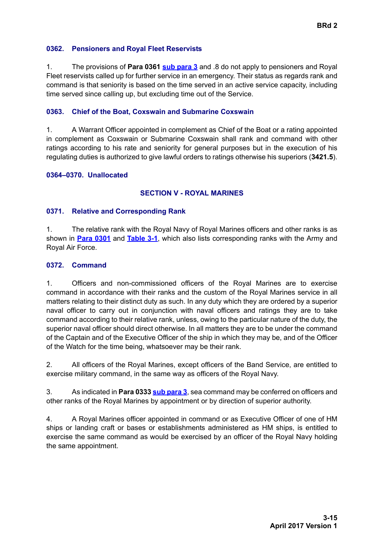#### <span id="page-14-0"></span>**0362. Pensioners and Royal Fleet Reservists**

1. The provisions of **[Para 0361](#page-13-2) [sub para 3](#page-12-3)** and .8 do not apply to pensioners and Royal Fleet reservists called up for further service in an emergency. Their status as regards rank and command is that seniority is based on the time served in an active service capacity, including time served since calling up, but excluding time out of the Service.

#### <span id="page-14-1"></span>**0363. Chief of the Boat, Coxswain and Submarine Coxswain**

1. A Warrant Officer appointed in complement as Chief of the Boat or a rating appointed in complement as Coxswain or Submarine Coxswain shall rank and command with other ratings according to his rate and seniority for general purposes but in the execution of his regulating duties is authorized to give lawful orders to ratings otherwise his superiors (**3421.5**).

#### <span id="page-14-2"></span>**0364–0370. Unallocated**

#### **SECTION V - ROYAL MARINES**

#### <span id="page-14-3"></span>**0371. Relative and Corresponding Rank**

1. The relative rank with the Royal Navy of Royal Marines officers and other ranks is as shown in **[Para 0301](#page-2-1)** and **[Table 3-1](#page-16-2)**, which also lists corresponding ranks with the Army and Royal Air Force.

#### <span id="page-14-4"></span>**0372. Command**

1. Officers and non-commissioned officers of the Royal Marines are to exercise command in accordance with their ranks and the custom of the Royal Marines service in all matters relating to their distinct duty as such. In any duty which they are ordered by a superior naval officer to carry out in conjunction with naval officers and ratings they are to take command according to their relative rank, unless, owing to the particular nature of the duty, the superior naval officer should direct otherwise. In all matters they are to be under the command of the Captain and of the Executive Officer of the ship in which they may be, and of the Officer of the Watch for the time being, whatsoever may be their rank.

2. All officers of the Royal Marines, except officers of the Band Service, are entitled to exercise military command, in the same way as officers of the Royal Navy.

3. As indicated in **[Para 0333](#page-7-1) [sub para 3](#page-7-5)**, sea command may be conferred on officers and other ranks of the Royal Marines by appointment or by direction of superior authority.

4. A Royal Marines officer appointed in command or as Executive Officer of one of HM ships or landing craft or bases or establishments administered as HM ships, is entitled to exercise the same command as would be exercised by an officer of the Royal Navy holding the same appointment.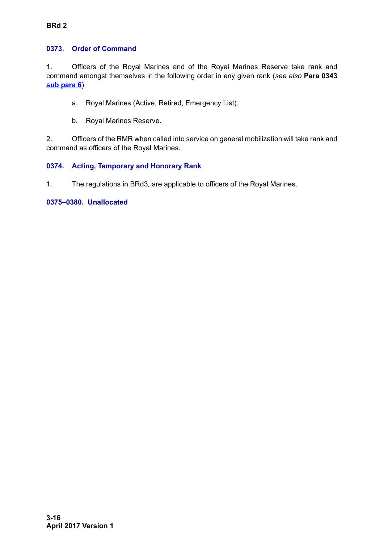# <span id="page-15-0"></span>**0373. Order of Command**

1. Officers of the Royal Marines and of the Royal Marines Reserve take rank and command amongst themselves in the following order in any given rank (*see also* **[Para 0343](#page-12-0) [sub para 6](#page-12-4)**):

- a. Royal Marines (Active, Retired, Emergency List).
- b. Royal Marines Reserve.

2. Officers of the RMR when called into service on general mobilization will take rank and command as officers of the Royal Marines.

# <span id="page-15-1"></span>**0374. Acting, Temporary and Honorary Rank**

1. The regulations in BRd3*,* are applicable to officers of the Royal Marines.

### **0375–0380. Unallocated**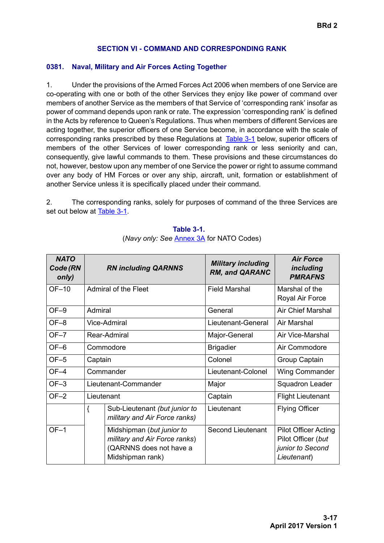### **SECTION VI - COMMAND AND CORRESPONDING RANK**

### <span id="page-16-1"></span><span id="page-16-0"></span>**0381. Naval, Military and Air Forces Acting Together**

1. Under the provisions of the Armed Forces Act 2006 when members of one Service are co-operating with one or both of the other Services they enjoy like power of command over members of another Service as the members of that Service of 'corresponding rank' insofar as power of command depends upon rank or rate. The expression 'corresponding rank' is defined in the Acts by reference to Queen's Regulations. Thus when members of different Services are acting together, the superior officers of one Service become, in accordance with the scale of corresponding ranks prescribed by these Regulations at [Table 3-1](#page-16-2) below, superior officers of members of the other Services of lower corresponding rank or less seniority and can, consequently, give lawful commands to them. These provisions and these circumstances do not, however, bestow upon any member of one Service the power or right to assume command over any body of HM Forces or over any ship, aircraft, unit, formation or establishment of another Service unless it is specifically placed under their command.

<span id="page-16-2"></span>2. The corresponding ranks, solely for purposes of command of the three Services are set out below at [Table 3-1](#page-16-2).

| <b>NATO</b><br>Code (RN<br>only) | <b>RN including QARNNS</b> |                                                                                                           | <b>Military including</b><br><b>RM, and QARANC</b> | <b>Air Force</b><br>including<br><b>PMRAFNS</b>                                      |
|----------------------------------|----------------------------|-----------------------------------------------------------------------------------------------------------|----------------------------------------------------|--------------------------------------------------------------------------------------|
| OF-10                            |                            | <b>Admiral of the Fleet</b>                                                                               | <b>Field Marshal</b>                               | Marshal of the<br>Royal Air Force                                                    |
| $OF-9$                           | Admiral                    |                                                                                                           | General                                            | <b>Air Chief Marshal</b>                                                             |
| $OF-8$                           |                            | Vice-Admiral                                                                                              | Lieutenant-General                                 | Air Marshal                                                                          |
| $OF-7$                           |                            | Rear-Admiral                                                                                              | Major-General                                      | Air Vice-Marshal                                                                     |
| OF-6                             |                            | Commodore                                                                                                 | <b>Brigadier</b>                                   | Air Commodore                                                                        |
| $OF-5$                           | Captain                    |                                                                                                           | Colonel                                            | Group Captain                                                                        |
| $OF-4$                           | Commander                  |                                                                                                           | Lieutenant-Colonel                                 | <b>Wing Commander</b>                                                                |
| $OF-3$                           | Lieutenant-Commander       |                                                                                                           | Major                                              | Squadron Leader                                                                      |
| $OF-2$                           | Lieutenant                 |                                                                                                           | Captain                                            | <b>Flight Lieutenant</b>                                                             |
|                                  | {                          | Sub-Lieutenant (but junior to<br>military and Air Force ranks)                                            | Lieutenant                                         | <b>Flying Officer</b>                                                                |
| $OF-1$                           |                            | Midshipman (but junior to<br>military and Air Force ranks)<br>(QARNNS does not have a<br>Midshipman rank) | <b>Second Lieutenant</b>                           | <b>Pilot Officer Acting</b><br>Pilot Officer (but<br>junior to Second<br>Lieutenant) |

<span id="page-16-3"></span>**Table 3-1.**  (*Navy only: See* [Annex 3A](#page-25-0) for NATO Codes)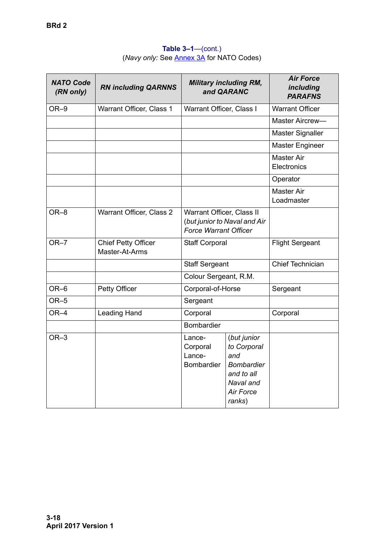| <b>NATO Code</b><br>(RN only) | <b>RN including QARNNS</b>                   |                                                           | <b>Military including RM,</b><br>and QARANC                                                                     | <b>Air Force</b><br>including<br><b>PARAFNS</b> |
|-------------------------------|----------------------------------------------|-----------------------------------------------------------|-----------------------------------------------------------------------------------------------------------------|-------------------------------------------------|
| OR-9                          | Warrant Officer, Class 1                     | Warrant Officer, Class I                                  |                                                                                                                 | <b>Warrant Officer</b>                          |
|                               |                                              |                                                           |                                                                                                                 | Master Aircrew-                                 |
|                               |                                              |                                                           |                                                                                                                 | <b>Master Signaller</b>                         |
|                               |                                              |                                                           |                                                                                                                 | <b>Master Engineer</b>                          |
|                               |                                              |                                                           |                                                                                                                 | <b>Master Air</b><br>Electronics                |
|                               |                                              |                                                           |                                                                                                                 | Operator                                        |
|                               |                                              |                                                           |                                                                                                                 | <b>Master Air</b><br>Loadmaster                 |
| OR-8                          | Warrant Officer, Class 2                     | Warrant Officer, Class II<br><b>Force Warrant Officer</b> | (but junior to Naval and Air                                                                                    |                                                 |
| $OR-7$                        | <b>Chief Petty Officer</b><br>Master-At-Arms | Staff Corporal                                            |                                                                                                                 | <b>Flight Sergeant</b>                          |
|                               |                                              | <b>Staff Sergeant</b>                                     |                                                                                                                 | Chief Technician                                |
|                               |                                              | Colour Sergeant, R.M.                                     |                                                                                                                 |                                                 |
| OR-6                          | Petty Officer                                | Corporal-of-Horse                                         |                                                                                                                 | Sergeant                                        |
| $OR-5$                        |                                              | Sergeant                                                  |                                                                                                                 |                                                 |
| OR-4                          | Leading Hand                                 | Corporal                                                  |                                                                                                                 | Corporal                                        |
|                               |                                              | <b>Bombardier</b>                                         |                                                                                                                 |                                                 |
| $OR-3$                        |                                              | Lance-<br>Corporal<br>Lance-<br>Bombardier                | (but junior<br>to Corporal<br>and<br><b>Bombardier</b><br>and to all<br>Naval and<br><b>Air Force</b><br>ranks) |                                                 |

# **Table 3–1**—(cont.) (*Navy only:* See [Annex 3A](#page-25-0) for NATO Codes)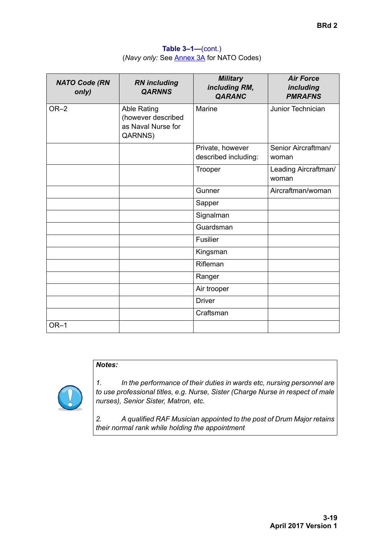**Table 3–1—**(cont.) (*Navy only:* See [Annex 3A](#page-25-0) for NATO Codes)

| <b>NATO Code (RN</b><br>only) | <b>RN</b> including<br><b>QARNNS</b>                                      | <b>Military</b><br>including RM,<br><b>QARANC</b> | <b>Air Force</b><br><i>including</i><br><b>PMRAFNS</b> |
|-------------------------------|---------------------------------------------------------------------------|---------------------------------------------------|--------------------------------------------------------|
| $OR-2$                        | <b>Able Rating</b><br>(however described<br>as Naval Nurse for<br>QARNNS) | Marine                                            | Junior Technician                                      |
|                               |                                                                           | Private, however<br>described including:          | Senior Aircraftman/<br>woman                           |
|                               |                                                                           | Trooper                                           | Leading Aircraftman/<br>woman                          |
|                               |                                                                           | Gunner                                            | Aircraftman/woman                                      |
|                               |                                                                           | Sapper                                            |                                                        |
|                               |                                                                           | Signalman                                         |                                                        |
|                               |                                                                           | Guardsman                                         |                                                        |
|                               |                                                                           | <b>Fusilier</b>                                   |                                                        |
|                               |                                                                           | Kingsman                                          |                                                        |
|                               |                                                                           | Rifleman                                          |                                                        |
|                               |                                                                           | Ranger                                            |                                                        |
|                               |                                                                           | Air trooper                                       |                                                        |
|                               |                                                                           | <b>Driver</b>                                     |                                                        |
|                               |                                                                           | Craftsman                                         |                                                        |
| $OR-1$                        |                                                                           |                                                   |                                                        |

# *Notes:*



*1. In the performance of their duties in wards etc, nursing personnel are to use professional titles, e.g. Nurse, Sister (Charge Nurse in respect of male nurses), Senior Sister, Matron, etc.*

*2. A qualified RAF Musician appointed to the post of Drum Major retains their normal rank while holding the appointment*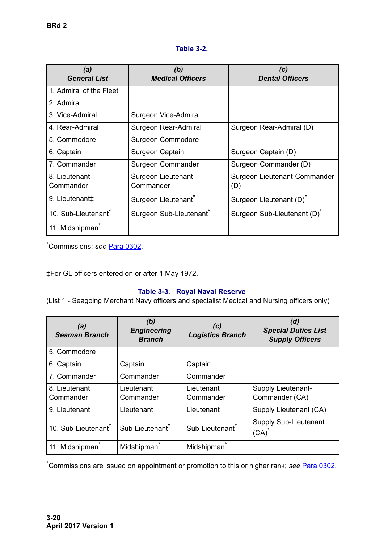# **Table 3-2.**

<span id="page-19-0"></span>

| (a)<br><b>General List</b>      | (b)<br><b>Medical Officers</b>      | (c)<br><b>Dental Officers</b>           |
|---------------------------------|-------------------------------------|-----------------------------------------|
| 1. Admiral of the Fleet         |                                     |                                         |
| 2. Admiral                      |                                     |                                         |
| 3. Vice-Admiral                 | Surgeon Vice-Admiral                |                                         |
| 4. Rear-Admiral                 | Surgeon Rear-Admiral                | Surgeon Rear-Admiral (D)                |
| 5. Commodore                    | Surgeon Commodore                   |                                         |
| 6. Captain                      | Surgeon Captain                     | Surgeon Captain (D)                     |
| 7. Commander                    | Surgeon Commander                   | Surgeon Commander (D)                   |
| 8. Lieutenant-<br>Commander     | Surgeon Lieutenant-<br>Commander    | Surgeon Lieutenant-Commander<br>(D)     |
| 9. Lieutenant‡                  | Surgeon Lieutenant <sup>®</sup>     | Surgeon Lieutenant (D) <sup>*</sup>     |
| 10. Sub-Lieutenant <sup>®</sup> | Surgeon Sub-Lieutenant <sup>®</sup> | Surgeon Sub-Lieutenant (D) <sup>*</sup> |
| 11. Midshipman                  |                                     |                                         |

\* Commissions: *see* [Para 0302.](#page-3-0)

‡For GL officers entered on or after 1 May 1972.

# **Table 3-3. Royal Naval Reserve**

<span id="page-19-1"></span>(List 1 - Seagoing Merchant Navy officers and specialist Medical and Nursing officers only)

| (a)<br><b>Seaman Branch</b>     | (b)<br><b>Engineering</b><br><b>Branch</b> | (c)<br><b>Logistics Branch</b> | (d)<br><b>Special Duties List</b><br><b>Supply Officers</b> |
|---------------------------------|--------------------------------------------|--------------------------------|-------------------------------------------------------------|
| 5. Commodore                    |                                            |                                |                                                             |
| 6. Captain                      | Captain                                    | Captain                        |                                                             |
| 7. Commander                    | Commander                                  | Commander                      |                                                             |
| 8. Lieutenant<br>Commander      | Lieutenant<br>Commander                    | Lieutenant<br>Commander        | <b>Supply Lieutenant-</b><br>Commander (CA)                 |
| 9. Lieutenant                   | Lieutenant                                 | Lieutenant                     | Supply Lieutenant (CA)                                      |
| 10. Sub-Lieutenant <sup>®</sup> | Sub-Lieutenant <sup>*</sup>                | Sub-Lieutenant <sup>*</sup>    | <b>Supply Sub-Lieutenant</b><br>$(CA)^{^*}$                 |
| 11. Midshipman <sup>7</sup>     | Midshipman <sup>*</sup>                    | Midshipman                     |                                                             |

\* Commissions are issued on appointment or promotion to this or higher rank; *see* [Para 0302](#page-3-0).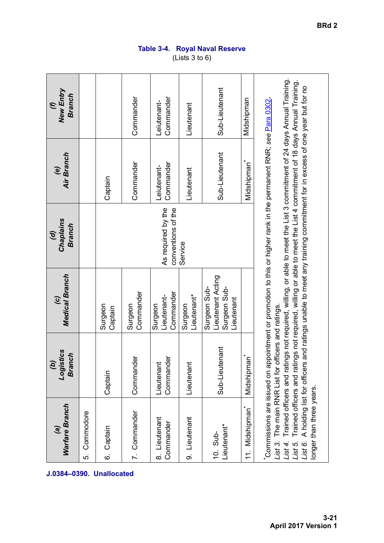| ĺ<br>ı<br>I |
|-------------|
| I<br>I      |
|             |
| L<br>I      |
| Ç<br>ſ<br>L |
| I           |

# **Table 3-4. Royal Naval Reserve** (Lists 3 to 6)

<span id="page-20-0"></span>

| J.0384-0390. Unallocated | <b>Warfare Branch</b><br>$\mathbf{g}$                                                                   | Logistics<br><b>Branch</b><br>$\mathfrak{g}$ | Medical Branch<br>$\widehat{c}$                                 | Chaplains<br><b>Branch</b><br>$\mathcal{G}$                                                                                                                                                                                                                                                                                                                                                                                                                | Air Branch<br>e)         | <b>New Entry</b><br><b>Branch</b><br>$\epsilon$ |
|--------------------------|---------------------------------------------------------------------------------------------------------|----------------------------------------------|-----------------------------------------------------------------|------------------------------------------------------------------------------------------------------------------------------------------------------------------------------------------------------------------------------------------------------------------------------------------------------------------------------------------------------------------------------------------------------------------------------------------------------------|--------------------------|-------------------------------------------------|
|                          | Commodore<br>ທ່                                                                                         |                                              |                                                                 |                                                                                                                                                                                                                                                                                                                                                                                                                                                            |                          |                                                 |
|                          | Captain<br><u>ဖ</u>                                                                                     | Captain                                      | Surgeon<br>Captain                                              |                                                                                                                                                                                                                                                                                                                                                                                                                                                            | Captain                  |                                                 |
|                          | 7. Commander                                                                                            | Commander                                    | Commander<br>Surgeon                                            |                                                                                                                                                                                                                                                                                                                                                                                                                                                            | Commander                | Commander                                       |
|                          | 8. Lieutenant<br>Commander                                                                              | Commander<br>Lieutenant                      | Commander<br>Lieutenant-<br>Surgeon                             | As required by the<br>conventions of the                                                                                                                                                                                                                                                                                                                                                                                                                   | Commander<br>Leiutenant- | Commander<br>Leiutenant-                        |
|                          | 9. Lieutenant                                                                                           | Lieutenant                                   | Lieutenant*<br>Surgeon                                          | Service                                                                                                                                                                                                                                                                                                                                                                                                                                                    | Lieutenant               | Lieutenant                                      |
|                          | Lieutenant*<br>10. Sub-                                                                                 | Sub-Lieutenant                               | Lieutenant Acting<br>Surgeon Sub-<br>Surgeon Sub-<br>Lieutenant |                                                                                                                                                                                                                                                                                                                                                                                                                                                            | Sub-Lieutenant           | Sub-Lieutenant                                  |
|                          | Midshipman<br>ί.                                                                                        | Midshipman <sup>*</sup>                      |                                                                 |                                                                                                                                                                                                                                                                                                                                                                                                                                                            | Midshipman               | Midshipman                                      |
|                          | A holding list for officers<br>longer than three years.<br>$List$ 3.<br>$List$ 4.<br>List 6.<br>List 5. | The main RNR List for officers and ratings.  |                                                                 | Trained officers and ratings not required, willing, or able to meet the List 3 commitment of 24 days Annual Training.<br>Trained officers and ratings not required, willing or able to meet the List 4 commitment of 18 days Annual Training.<br>and ratings unable to meet any training commitment for in excess of one year but for no<br>Commissions are issued on appointment or promotion to this or higher rank in the permanent RNR; see Para 0302. |                          |                                                 |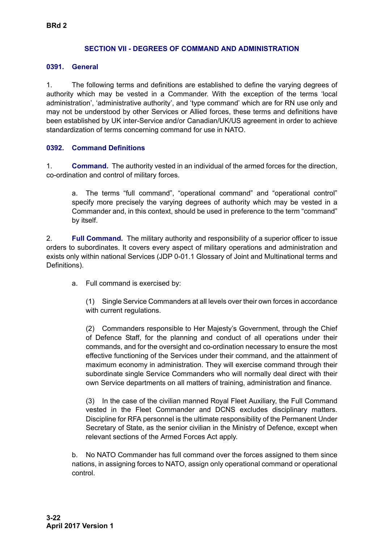#### **SECTION VII - DEGREES OF COMMAND AND ADMINISTRATION**

#### <span id="page-21-1"></span><span id="page-21-0"></span>**0391. General**

1. The following terms and definitions are established to define the varying degrees of authority which may be vested in a Commander. With the exception of the terms 'local administration', 'administrative authority', and 'type command' which are for RN use only and may not be understood by other Services or Allied forces, these terms and definitions have been established by UK inter-Service and/or Canadian/UK/US agreement in order to achieve standardization of terms concerning command for use in NATO.

### <span id="page-21-2"></span>**0392. Command Definitions**

1. **Command.** The authority vested in an individual of the armed forces for the direction, co-ordination and control of military forces.

a. The terms "full command", "operational command" and "operational control" specify more precisely the varying degrees of authority which may be vested in a Commander and, in this context, should be used in preference to the term "command" by itself.

2. **Full Command.** The military authority and responsibility of a superior officer to issue orders to subordinates. It covers every aspect of military operations and administration and exists only within national Services (JDP 0-01.1 Glossary of Joint and Multinational terms and Definitions).

a. Full command is exercised by:

(1) Single Service Commanders at all levels over their own forces in accordance with current regulations.

(2) Commanders responsible to Her Majesty's Government, through the Chief of Defence Staff, for the planning and conduct of all operations under their commands, and for the oversight and co-ordination necessary to ensure the most effective functioning of the Services under their command, and the attainment of maximum economy in administration. They will exercise command through their subordinate single Service Commanders who will normally deal direct with their own Service departments on all matters of training, administration and finance.

(3) In the case of the civilian manned Royal Fleet Auxiliary, the Full Command vested in the Fleet Commander and DCNS excludes disciplinary matters. Discipline for RFA personnel is the ultimate responsibility of the Permanent Under Secretary of State, as the senior civilian in the Ministry of Defence, except when relevant sections of the Armed Forces Act apply.

b. No NATO Commander has full command over the forces assigned to them since nations, in assigning forces to NATO, assign only operational command or operational control.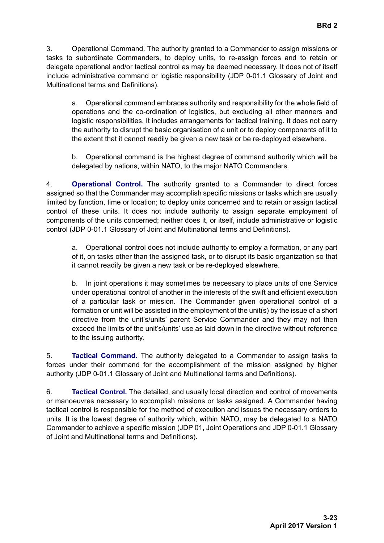3. Operational Command. The authority granted to a Commander to assign missions or tasks to subordinate Commanders, to deploy units, to re-assign forces and to retain or delegate operational and/or tactical control as may be deemed necessary. It does not of itself include administrative command or logistic responsibility (JDP 0-01.1 Glossary of Joint and Multinational terms and Definitions).

a. Operational command embraces authority and responsibility for the whole field of operations and the co-ordination of logistics, but excluding all other manners and logistic responsibilities. It includes arrangements for tactical training. It does not carry the authority to disrupt the basic organisation of a unit or to deploy components of it to the extent that it cannot readily be given a new task or be re-deployed elsewhere.

b. Operational command is the highest degree of command authority which will be delegated by nations, within NATO, to the major NATO Commanders.

4. **Operational Control.** The authority granted to a Commander to direct forces assigned so that the Commander may accomplish specific missions or tasks which are usually limited by function, time or location; to deploy units concerned and to retain or assign tactical control of these units. It does not include authority to assign separate employment of components of the units concerned; neither does it, or itself, include administrative or logistic control (JDP 0-01.1 Glossary of Joint and Multinational terms and Definitions).

a. Operational control does not include authority to employ a formation, or any part of it, on tasks other than the assigned task, or to disrupt its basic organization so that it cannot readily be given a new task or be re-deployed elsewhere.

b. In joint operations it may sometimes be necessary to place units of one Service under operational control of another in the interests of the swift and efficient execution of a particular task or mission. The Commander given operational control of a formation or unit will be assisted in the employment of the unit(s) by the issue of a short directive from the unit's/units' parent Service Commander and they may not then exceed the limits of the unit's/units' use as laid down in the directive without reference to the issuing authority.

5. **Tactical Command.** The authority delegated to a Commander to assign tasks to forces under their command for the accomplishment of the mission assigned by higher authority (JDP 0-01.1 Glossary of Joint and Multinational terms and Definitions).

6. **Tactical Control.** The detailed, and usually local direction and control of movements or manoeuvres necessary to accomplish missions or tasks assigned. A Commander having tactical control is responsible for the method of execution and issues the necessary orders to units. It is the lowest degree of authority which, within NATO, may be delegated to a NATO Commander to achieve a specific mission (JDP 01, Joint Operations and JDP 0-01.1 Glossary of Joint and Multinational terms and Definitions).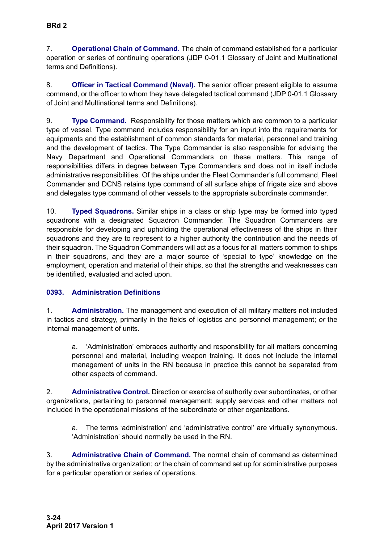7. **Operational Chain of Command.** The chain of command established for a particular operation or series of continuing operations (JDP 0-01.1 Glossary of Joint and Multinational terms and Definitions).

8. **Officer in Tactical Command (Naval).** The senior officer present eligible to assume command, or the officer to whom they have delegated tactical command (JDP 0-01.1 Glossary of Joint and Multinational terms and Definitions).

9. **Type Command.** Responsibility for those matters which are common to a particular type of vessel. Type command includes responsibility for an input into the requirements for equipments and the establishment of common standards for material, personnel and training and the development of tactics. The Type Commander is also responsible for advising the Navy Department and Operational Commanders on these matters. This range of responsibilities differs in degree between Type Commanders and does not in itself include administrative responsibilities. Of the ships under the Fleet Commander's full command, Fleet Commander and DCNS retains type command of all surface ships of frigate size and above and delegates type command of other vessels to the appropriate subordinate commander.

10. **Typed Squadrons.** Similar ships in a class or ship type may be formed into typed squadrons with a designated Squadron Commander. The Squadron Commanders are responsible for developing and upholding the operational effectiveness of the ships in their squadrons and they are to represent to a higher authority the contribution and the needs of their squadron. The Squadron Commanders will act as a focus for all matters common to ships in their squadrons, and they are a major source of 'special to type' knowledge on the employment, operation and material of their ships, so that the strengths and weaknesses can be identified, evaluated and acted upon.

# <span id="page-23-0"></span>**0393. Administration Definitions**

1. **Administration.** The management and execution of all military matters not included in tactics and strategy, primarily in the fields of logistics and personnel management; *or* the internal management of units.

a. 'Administration' embraces authority and responsibility for all matters concerning personnel and material, including weapon training. It does not include the internal management of units in the RN because in practice this cannot be separated from other aspects of command.

2. **Administrative Control.** Direction or exercise of authority over subordinates, or other organizations, pertaining to personnel management; supply services and other matters not included in the operational missions of the subordinate or other organizations.

a. The terms 'administration' and 'administrative control' are virtually synonymous. 'Administration' should normally be used in the RN.

3. **Administrative Chain of Command.** The normal chain of command as determined by the administrative organization; *or* the chain of command set up for administrative purposes for a particular operation or series of operations.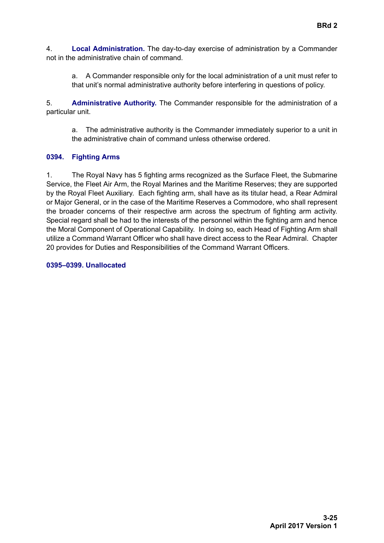4. **Local Administration.** The day-to-day exercise of administration by a Commander not in the administrative chain of command.

a. A Commander responsible only for the local administration of a unit must refer to that unit's normal administrative authority before interfering in questions of policy.

5. **Administrative Authority.** The Commander responsible for the administration of a particular unit.

a. The administrative authority is the Commander immediately superior to a unit in the administrative chain of command unless otherwise ordered.

# <span id="page-24-0"></span>**0394. Fighting Arms**

1. The Royal Navy has 5 fighting arms recognized as the Surface Fleet, the Submarine Service, the Fleet Air Arm, the Royal Marines and the Maritime Reserves; they are supported by the Royal Fleet Auxiliary. Each fighting arm, shall have as its titular head, a Rear Admiral or Major General, or in the case of the Maritime Reserves a Commodore, who shall represent the broader concerns of their respective arm across the spectrum of fighting arm activity. Special regard shall be had to the interests of the personnel within the fighting arm and hence the Moral Component of Operational Capability. In doing so, each Head of Fighting Arm shall utilize a Command Warrant Officer who shall have direct access to the Rear Admiral. Chapter 20 provides for Duties and Responsibilities of the Command Warrant Officers.

#### **0395–0399. Unallocated**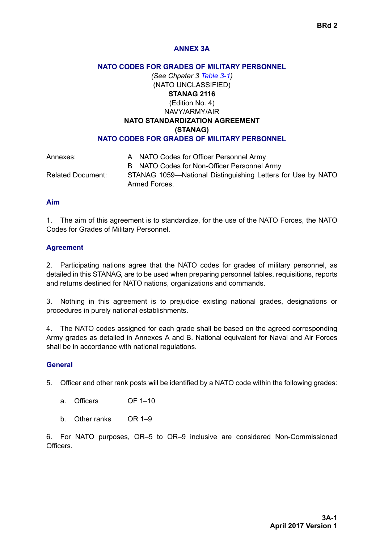# <span id="page-25-0"></span>**ANNEX 3A**

### **NATO CODES FOR GRADES OF MILITARY PERSONNEL**

*(See [Chpater 3](#page-0-1) [Table 3-1](#page-16-3))* (NATO UNCLASSIFIED) **STANAG 2116** (Edition No. 4) NAVY/ARMY/AIR **NATO STANDARDIZATION AGREEMENT (STANAG) NATO CODES FOR GRADES OF MILITARY PERSONNEL**

| Annexes:                 | A NATO Codes for Officer Personnel Army                     |
|--------------------------|-------------------------------------------------------------|
|                          | B NATO Codes for Non-Officer Personnel Army                 |
| <b>Related Document:</b> | STANAG 1059—National Distinguishing Letters for Use by NATO |
|                          | Armed Forces.                                               |

#### **Aim**

1. The aim of this agreement is to standardize, for the use of the NATO Forces, the NATO Codes for Grades of Military Personnel.

### **Agreement**

2. Participating nations agree that the NATO codes for grades of military personnel, as detailed in this STANAG, are to be used when preparing personnel tables, requisitions, reports and returns destined for NATO nations, organizations and commands.

3. Nothing in this agreement is to prejudice existing national grades, designations or procedures in purely national establishments.

4. The NATO codes assigned for each grade shall be based on the agreed corresponding Army grades as detailed in Annexes A and B. National equivalent for Naval and Air Forces shall be in accordance with national regulations.

#### **General**

5. Officer and other rank posts will be identified by a NATO code within the following grades:

- a. Officers OF 1–10
- b. Other ranks OR 1–9

6. For NATO purposes, OR–5 to OR–9 inclusive are considered Non-Commissioned **Officers**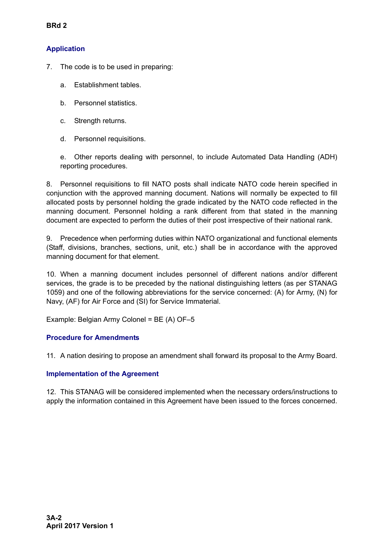# **Application**

- 7. The code is to be used in preparing:
	- a. Establishment tables.
	- b. Personnel statistics.
	- c. Strength returns.
	- d. Personnel requisitions.

e. Other reports dealing with personnel, to include Automated Data Handling (ADH) reporting procedures.

8. Personnel requisitions to fill NATO posts shall indicate NATO code herein specified in conjunction with the approved manning document. Nations will normally be expected to fill allocated posts by personnel holding the grade indicated by the NATO code reflected in the manning document. Personnel holding a rank different from that stated in the manning document are expected to perform the duties of their post irrespective of their national rank.

9. Precedence when performing duties within NATO organizational and functional elements (Staff, divisions, branches, sections, unit, etc.) shall be in accordance with the approved manning document for that element.

10. When a manning document includes personnel of different nations and/or different services, the grade is to be preceded by the national distinguishing letters (as per STANAG 1059) and one of the following abbreviations for the service concerned: (A) for Army, (N) for Navy, (AF) for Air Force and (SI) for Service Immaterial.

Example: Belgian Army Colonel = BE (A) OF–5

# **Procedure for Amendments**

11. A nation desiring to propose an amendment shall forward its proposal to the Army Board.

# **Implementation of the Agreement**

12. This STANAG will be considered implemented when the necessary orders/instructions to apply the information contained in this Agreement have been issued to the forces concerned.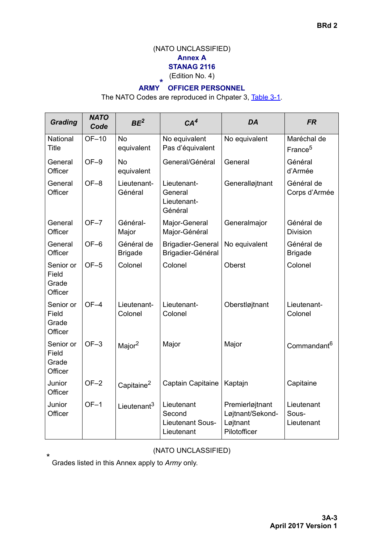# (NATO UNCLASSIFIED) **Annex A STANAG 2116**

(Edition No. 4)

#### **ARMY \* OFFICER PERSONNEL**

The NATO Codes are reproduced in [Chpater 3,](#page-0-1) [Table 3-1](#page-16-3).

| <b>Grading</b>                         | <b>NATO</b><br>Code | BE <sup>2</sup>              | CA <sup>4</sup>                                        | DA                                                              | <b>FR</b>                          |
|----------------------------------------|---------------------|------------------------------|--------------------------------------------------------|-----------------------------------------------------------------|------------------------------------|
| National<br>Title                      | $OF-10$             | <b>No</b><br>equivalent      | No equivalent<br>Pas d'équivalent                      | No equivalent                                                   | Maréchal de<br>France <sup>5</sup> |
| General<br>Officer                     | $OF-9$              | <b>No</b><br>equivalent      | General/Général                                        | General                                                         | Général<br>d'Armée                 |
| General<br>Officer                     | $OF-8$              | Lieutenant-<br>Général       | Lieutenant-<br>General<br>Lieutenant-<br>Général       | Generalløjtnant                                                 | Général de<br>Corps d'Armée        |
| General<br>Officer                     | $OF-7$              | Général-<br>Major            | Major-General<br>Major-Général                         | Generalmajor                                                    | Général de<br><b>Division</b>      |
| General<br>Officer                     | $OF-6$              | Général de<br><b>Brigade</b> | <b>Brigadier-General</b><br>Brigadier-Général          | No equivalent                                                   | Général de<br><b>Brigade</b>       |
| Senior or<br>Field<br>Grade<br>Officer | $OF-5$              | Colonel                      | Colonel                                                | <b>Oberst</b>                                                   | Colonel                            |
| Senior or<br>Field<br>Grade<br>Officer | $OF-4$              | Lieutenant-<br>Colonel       | Lieutenant-<br>Colonel                                 | Oberstløjtnant                                                  | Lieutenant-<br>Colonel             |
| Senior or<br>Field<br>Grade<br>Officer | $OF-3$              | Major <sup>2</sup>           | Major                                                  | Major                                                           | Commandant <sup>6</sup>            |
| Junior<br>Officer                      | $OF-2$              | Capitaine <sup>2</sup>       | Captain Capitaine                                      | Kaptajn                                                         | Capitaine                          |
| Junior<br>Officer                      | $OF-1$              | Lieutenant <sup>3</sup>      | Lieutenant<br>Second<br>Lieutenant Sous-<br>Lieutenant | Premierløjtnant<br>Løjtnant/Sekond-<br>Løjtnant<br>Pilotofficer | Lieutenant<br>Sous-<br>Lieutenant  |

(NATO UNCLASSIFIED)

Grades listed in this Annex apply to *Army* only.

\*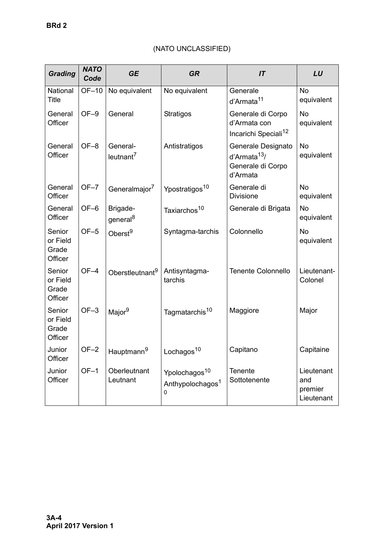#### *Grading NATO Code GE GR IT LU* **National Title** OF–10 | No equivalent | No equivalent | Generale d'Armata<sup>11</sup> No equivalent **General Officer** OF–9 General Stratigos Generale di Corpo d'Armata con Incarichi Speciali<sup>12</sup> No equivalent **General Officer** OF–8 General $leutnant<sup>7</sup>$ Antistratigos | Generale Designato d'Armata13/ Generale di Corpo d'Armata No equivalent **General Officer** OF–7 Generalmajor<sup>7</sup> Ypostratigos<sup>10</sup> Generale di Divisione No equivalent **General Officer** OF-6 | Brigadegeneral<sup>8</sup> Taxiarchos<sup>10</sup> | Generale di Brigata | No equivalent Senior or Field Grade **Officer** OF–5 Oberst<sup>9</sup> Syntagma-tarchis Colonnello | No equivalent Senior or Field Grade **Officer**  $OF-4$  Oberstleutnant<sup>9</sup> Antisyntagmatarchis Tenente Colonnello | Lieutenant-Colonel Senior or Field Grade **Officer** OF–3 Major<sup>9</sup> | Tagmatarchis<sup>10</sup> | Maggiore | Major Junior **Officer** OF-2 Hauptmann<sup>9</sup> Lochagos<sup>10</sup> Capitano | Capitaine Junior **Officer** OF–1 Oberleutnant **Leutnant** Ypolochagos<sup>10</sup> Anthypolochagos<sup>1</sup> **Tenente Sottotenente Lieutenant** and

0

premier **Lieutenant** 

# (NATO UNCLASSIFIED)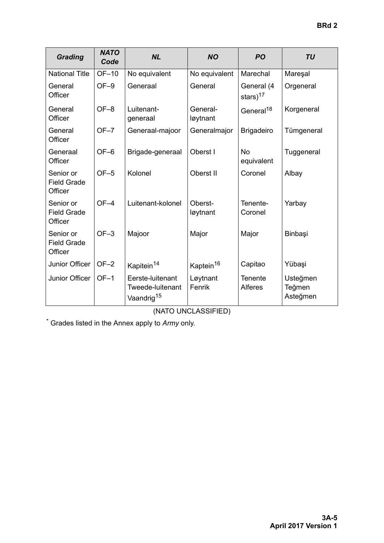| <b>Grading</b>                             | <b>NATO</b><br>Code | <b>NL</b>                                                      | <b>NO</b>             | <b>PO</b>                 | <b>TU</b>                      |
|--------------------------------------------|---------------------|----------------------------------------------------------------|-----------------------|---------------------------|--------------------------------|
| <b>National Title</b>                      | OF-10               | No equivalent                                                  | No equivalent         | Marechal                  | Mareşal                        |
| General<br>Officer                         | $OF-9$              | Generaal                                                       | General               | General (4<br>stars) $17$ | Orgeneral                      |
| General<br>Officer                         | $OF-8$              | Luitenant-<br>generaal                                         | General-<br>løytnant  | General <sup>18</sup>     | Korgeneral                     |
| General<br>Officer                         | $OF-7$              | Generaal-majoor                                                | Generalmajor          | <b>Brigadeiro</b>         | Tümgeneral                     |
| Generaal<br>Officer                        | $OF-6$              | Brigade-generaal                                               | Oberst I              | <b>No</b><br>equivalent   | Tuggeneral                     |
| Senior or<br><b>Field Grade</b><br>Officer | $OF-5$              | Kolonel                                                        | Oberst II             | Coronel                   | Albay                          |
| Senior or<br><b>Field Grade</b><br>Officer | $OF-4$              | Luitenant-kolonel                                              | Oberst-<br>løytnant   | Tenente-<br>Coronel       | Yarbay                         |
| Senior or<br><b>Field Grade</b><br>Officer | $OF-3$              | Majoor                                                         | Major                 | Major                     | Binbaşi                        |
| Junior Officer                             | $OF-2$              | Kapitein <sup>14</sup>                                         | Kaptein <sup>16</sup> | Capitao                   | Yübaşi                         |
| Junior Officer                             | $OF-1$              | Eerste-luitenant<br>Tweede-luitenant<br>Vaandrig <sup>15</sup> | Løytnant<br>Fenrik    | <b>Tenente</b><br>Alferes | Usteğmen<br>Teğmen<br>Asteğmen |

(NATO UNCLASSIFIED)

\* Grades listed in the Annex apply to *Army* only.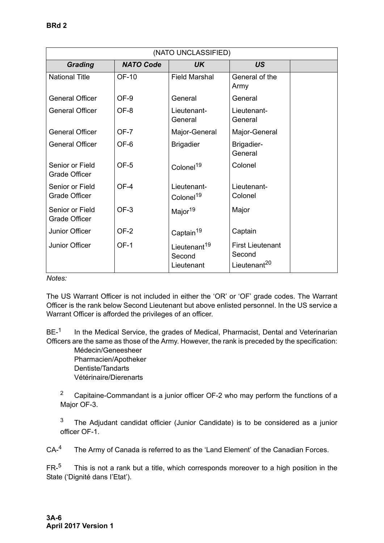|                                         | (NATO UNCLASSIFIED) |                                                  |                                                               |  |  |
|-----------------------------------------|---------------------|--------------------------------------------------|---------------------------------------------------------------|--|--|
| <b>Grading</b>                          | <b>NATO Code</b>    | UK.                                              | <b>US</b>                                                     |  |  |
| <b>National Title</b>                   | <b>OF-10</b>        | <b>Field Marshal</b>                             | General of the<br>Army                                        |  |  |
| <b>General Officer</b>                  | OF-9                | General                                          | General                                                       |  |  |
| <b>General Officer</b>                  | OF-8                | Lieutenant-<br>General                           | Lieutenant-<br>General                                        |  |  |
| <b>General Officer</b>                  | OF-7                | Major-General                                    | Major-General                                                 |  |  |
| <b>General Officer</b>                  | OF-6                | <b>Brigadier</b>                                 | Brigadier-<br>General                                         |  |  |
| Senior or Field<br><b>Grade Officer</b> | OF-5                | Colonel <sup>19</sup>                            | Colonel                                                       |  |  |
| Senior or Field<br><b>Grade Officer</b> | OF-4                | Lieutenant-<br>Colonel <sup>19</sup>             | Lieutenant-<br>Colonel                                        |  |  |
| Senior or Field<br><b>Grade Officer</b> | OF-3                | Major <sup>19</sup>                              | Major                                                         |  |  |
| <b>Junior Officer</b>                   | $OF-2$              | Captain <sup>19</sup>                            | Captain                                                       |  |  |
| Junior Officer                          | $OF-1$              | Lieutenant <sup>19</sup><br>Second<br>Lieutenant | <b>First Lieutenant</b><br>Second<br>Lieutenant <sup>20</sup> |  |  |

*Notes:*

The US Warrant Officer is not included in either the 'OR' or 'OF' grade codes. The Warrant Officer is the rank below Second Lieutenant but above enlisted personnel. In the US service a Warrant Officer is afforded the privileges of an officer.

 $BE<sup>-1</sup>$  In the Medical Service, the grades of Medical, Pharmacist, Dental and Veterinarian Officers are the same as those of the Army. However, the rank is preceded by the specification:

Médecin/Geneesheer Pharmacien/Apotheker Dentiste/Tandarts Vétérinaire/Dierenarts

2 Capitaine-Commandant is a junior officer OF-2 who may perform the functions of a Major OF-3.

<sup>3</sup> The Adjudant candidat officier (Junior Candidate) is to be considered as a junior officer OF-1.

CA-<sup>4</sup> The Army of Canada is referred to as the 'Land Element' of the Canadian Forces.

 $FR<sup>5</sup>$  This is not a rank but a title, which corresponds moreover to a high position in the State ('Dignité dans I'Etat').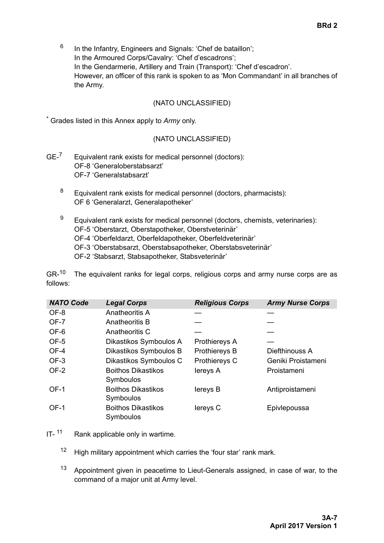$6$  In the Infantry, Engineers and Signals: 'Chef de bataillon'; In the Armoured Corps/Cavalry: 'Chef d'escadrons'; In the Gendarmerie, Artillery and Train (Transport): 'Chef d'escadron'. However, an officer of this rank is spoken to as 'Mon Commandant' in all branches of the Army.

### (NATO UNCLASSIFIED)

\* Grades listed in this Annex apply to *Army* only.

## (NATO UNCLASSIFIED)

- $GE^{-7}$  Equivalent rank exists for medical personnel (doctors): OF-8 'Generaloberstabsarzt' OF-7 'Generalstabsarzt'
	- $8$  Equivalent rank exists for medical personnel (doctors, pharmacists): OF 6 'Generalarzt, Generalapotheker'
	- $9$  Equivalent rank exists for medical personnel (doctors, chemists, veterinaries): OF-5 'Oberstarzt, Oberstapotheker, Oberstveterinär' OF-4 'Oberfeldarzt, Oberfeldapotheker, Oberfeldveterinär' OF-3 'Oberstabsarzt, Oberstabsapotheker, Oberstabsveterinär' OF-2 'Stabsarzt, Stabsapotheker, Stabsveterinär'

 $GR<sup>-10</sup>$  The equivalent ranks for legal corps, religious corps and army nurse corps are as follows:

| <b>NATO Code</b> | <b>Legal Corps</b>                     | <b>Religious Corps</b> | <b>Army Nurse Corps</b> |
|------------------|----------------------------------------|------------------------|-------------------------|
| OF-8             | Anatheoritis A                         |                        |                         |
| OF-7             | Anatheoritis B                         |                        |                         |
| OF-6             | Anatheoritis C                         |                        |                         |
| OF-5             | Dikastikos Symboulos A                 | Prothiereys A          |                         |
| OF-4             | Dikastikos Symboulos B                 | Prothiereys B          | Diefthinouss A          |
| OF-3             | Dikastikos Symboulos C                 | Prothiereys C          | Geniki Proistameni      |
| OF-2             | <b>Boithos Dikastikos</b><br>Symboulos | lereys A               | Proistameni             |
| OF-1             | <b>Boithos Dikastikos</b><br>Symboulos | lereys B               | Antiproistameni         |
| OF-1             | <b>Boithos Dikastikos</b><br>Symboulos | lereys C               | Epivlepoussa            |

- $IT-$ <sup>11</sup> Rank applicable only in wartime.
	- $12$  High military appointment which carries the 'four star' rank mark.
	- <sup>13</sup> Appointment given in peacetime to Lieut-Generals assigned, in case of war, to the command of a major unit at Army level.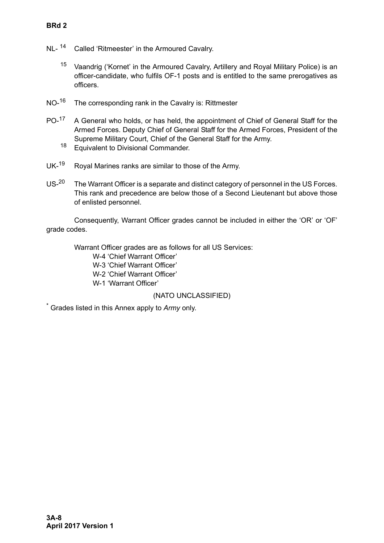- NL-<sup>14</sup> Called 'Ritmeester' in the Armoured Cavalry.
	- <sup>15</sup> Vaandrig ('Kornet' in the Armoured Cavalry, Artillery and Royal Military Police) is an officer-candidate, who fulfils OF-1 posts and is entitled to the same prerogatives as officers.
- NO-<sup>16</sup> The corresponding rank in the Cavalry is: Rittmester
- PO-<sup>17</sup> A General who holds, or has held, the appointment of Chief of General Staff for the Armed Forces. Deputy Chief of General Staff for the Armed Forces, President of the Supreme Military Court, Chief of the General Staff for the Army.
	- <sup>18</sup> Equivalent to Divisional Commander.
- UK-<sup>19</sup> Royal Marines ranks are similar to those of the Army.
- US-<sup>20</sup> The Warrant Officer is a separate and distinct category of personnel in the US Forces. This rank and precedence are below those of a Second Lieutenant but above those of enlisted personnel.

Consequently, Warrant Officer grades cannot be included in either the 'OR' or 'OF' grade codes.

Warrant Officer grades are as follows for all US Services:

- W-4 'Chief Warrant Officer'
- W-3 'Chief Warrant Officer'
- W-2 'Chief Warrant Officer'
- W-1 'Warrant Officer'

(NATO UNCLASSIFIED)

Grades listed in this Annex apply to *Army* only.

\*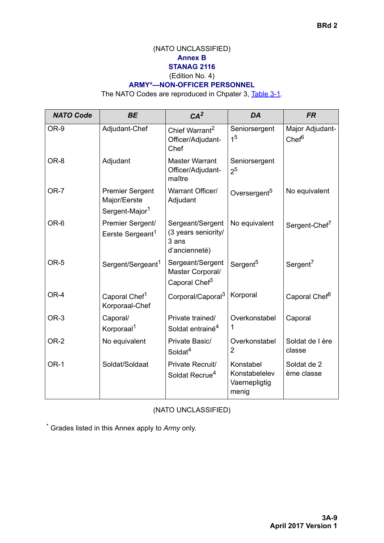# (NATO UNCLASSIFIED) **Annex B STANAG 2116** (Edition No. 4)

# **ARMY\*—NON-OFFICER PERSONNEL**

The NATO Codes are reproduced in [Chpater 3,](#page-0-1) [Table 3-1](#page-16-3).

| <b>NATO Code</b> | <b>BE</b>                                                            | CA <sup>2</sup>                                                   | DA                                                   | <b>FR</b>                            |
|------------------|----------------------------------------------------------------------|-------------------------------------------------------------------|------------------------------------------------------|--------------------------------------|
| OR-9             | Adjudant-Chef                                                        | Chief Warrant <sup>2</sup><br>Officer/Adjudant-<br>Chef           | Seniorsergent<br>1 <sup>5</sup>                      | Major Adjudant-<br>Chef <sup>6</sup> |
| OR-8             | Adjudant                                                             | <b>Master Warrant</b><br>Officer/Adjudant-<br>maître              | Seniorsergent<br>2 <sup>5</sup>                      |                                      |
| OR-7             | <b>Premier Sergent</b><br>Major/Eerste<br>Sergent-Major <sup>1</sup> | Warrant Officer/<br>Adjudant                                      | Oversergent <sup>5</sup>                             | No equivalent                        |
| OR-6             | Premier Sergent/<br>Eerste Sergeant <sup>1</sup>                     | Sergeant/Sergent<br>(3 years seniority/<br>3 ans<br>d'ancienneté) | No equivalent                                        | Sergent-Chef <sup>7</sup>            |
| OR-5             | Sergent/Sergeant <sup>1</sup>                                        | Sergeant/Sergent<br>Master Corporal/<br>Caporal Chef <sup>3</sup> | Sergent <sup>5</sup>                                 | Sergent <sup>7</sup>                 |
| OR-4             | Caporal Chef <sup>1</sup><br>Korporaal-Chef                          | Corporal/Caporal <sup>3</sup>                                     | Korporal                                             | Caporal Chef <sup>8</sup>            |
| OR-3             | Caporal/<br>Korporaal <sup>1</sup>                                   | Private trained/<br>Soldat entrainé <sup>4</sup>                  | Overkonstabel<br>1                                   | Caporal                              |
| OR-2             | No equivalent                                                        | Private Basic/<br>Soldat <sup>4</sup>                             | Overkonstabel<br>2                                   | Soldat de I ère<br>classe            |
| OR-1             | Soldat/Soldaat                                                       | Private Recruit/<br>Soldat Recrue <sup>4</sup>                    | Konstabel<br>Konstabelelev<br>Vaernepligtig<br>menig | Soldat de 2<br>ème classe            |

(NATO UNCLASSIFIED)

\* Grades listed in this Annex apply to *Army* only.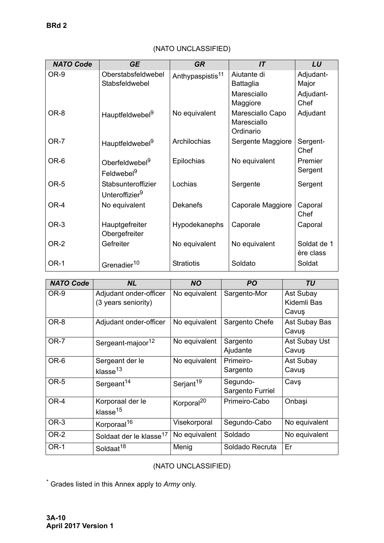| <b>NATO Code</b> | <b>GE</b>                                            | <b>GR</b>                    | IT                                           | LU                       |
|------------------|------------------------------------------------------|------------------------------|----------------------------------------------|--------------------------|
| OR-9             | Oberstabsfeldwebel<br>Stabsfeldwebel                 | Anthypaspistis <sup>11</sup> | Aiutante di<br><b>Battaglia</b>              | Adjudant-<br>Major       |
|                  |                                                      |                              | Maresciallo<br>Maggiore                      | Adjudant-<br>Chef        |
| OR-8             | Hauptfeldwebel <sup>9</sup>                          | No equivalent                | Maresciallo Capo<br>Maresciallo<br>Ordinario | Adjudant                 |
| OR-7             | Hauptfeldwebel <sup>9</sup>                          | Archilochias                 | Sergente Maggiore                            | Sergent-<br>Chef         |
| OR-6             | Oberfeldwebel <sup>9</sup><br>Feldwebel <sup>9</sup> | Epilochias                   | No equivalent                                | Premier<br>Sergent       |
| OR-5             | Stabsunteroffizier<br>Unteroffizier <sup>9</sup>     | Lochias                      | Sergente                                     | Sergent                  |
| OR-4             | No equivalent                                        | <b>Dekanefs</b>              | Caporale Maggiore                            | Caporal<br>Chef          |
| OR-3             | Hauptgefreiter<br>Obergefreiter                      | Hypodekanephs                | Caporale                                     | Caporal                  |
| OR-2             | Gefreiter                                            | No equivalent                | No equivalent                                | Soldat de 1<br>ère class |
| <b>OR-1</b>      | Grenadier <sup>10</sup>                              | <b>Stratiotis</b>            | Soldato                                      | Soldat                   |

# (NATO UNCLASSIFIED)

| <b>NATO Code</b> | <b>NL</b>                                     | <b>NO</b>              | <b>PO</b>                    | <b>TU</b>                         |
|------------------|-----------------------------------------------|------------------------|------------------------------|-----------------------------------|
| OR-9             | Adjudant onder-officer<br>(3 years seniority) | No equivalent          | Sargento-Mor                 | Ast Subay<br>Kidemli Bas<br>Cavuş |
| OR-8             | Adjudant onder-officer                        | No equivalent          | Sargento Chefe               | Ast Subay Bas<br>Cavuş            |
| OR-7             | Sergeant-majoor <sup>12</sup>                 | No equivalent          | Sargento<br>Ajudante         | Ast Subay Ust<br>Cavuş            |
| OR-6             | Sergeant der le<br>klasse <sup>13</sup>       | No equivalent          | Primeiro-<br>Sargento        | Ast Subay<br>Cavuş                |
| OR-5             | Sergeant <sup>14</sup>                        | Serjant <sup>19</sup>  | Segundo-<br>Sargento Furriel | Cavş                              |
| OR-4             | Korporaal der le<br>klasse <sup>15</sup>      | Korporal <sup>20</sup> | Primeiro-Cabo                | Onbaşi                            |
| OR-3             | Korporaal <sup>16</sup>                       | Visekorporal           | Segundo-Cabo                 | No equivalent                     |
| <b>OR-2</b>      | Soldaat der le klasse <sup>17</sup>           | No equivalent          | Soldado                      | No equivalent                     |
| OR-1             | Soldaat <sup>18</sup>                         | Menig                  | Soldado Recruta              | Er                                |

# (NATO UNCLASSIFIED)

\* Grades listed in this Annex apply to *Army* only.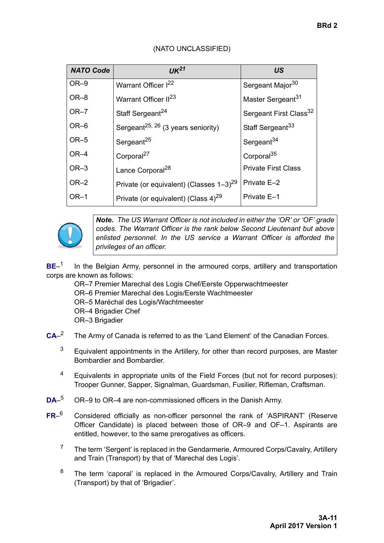| <b>NATO Code</b> | UK <sup>21</sup>                                       | <b>US</b>                          |
|------------------|--------------------------------------------------------|------------------------------------|
| $OR-9$           | Warrant Officer 1 <sup>22</sup>                        | Sergeant Major <sup>30</sup>       |
| OR-8             | Warrant Officer II <sup>23</sup>                       | Master Sergeant <sup>31</sup>      |
| $OR-7$           | Staff Sergeant <sup>24</sup>                           | Sergeant First Class <sup>32</sup> |
| $OR-6$           | Sergeant <sup>25, 26</sup> (3 years seniority)         | Staff Sergeant <sup>33</sup>       |
| $OR-5$           | Sergeant <sup>25</sup>                                 | Sergeant <sup>34</sup>             |
| $OR-4$           | Corporal <sup>27</sup>                                 | Corporal <sup>35</sup>             |
| $OR-3$           | Lance Corporal <sup>28</sup>                           | <b>Private First Class</b>         |
| $OR-2$           | Private (or equivalent) (Classes $1-3$ ) <sup>29</sup> | Private E-2                        |
| $OR-1$           | Private (or equivalent) (Class $4)^{29}$               | Private E-1                        |

# (NATO UNCLASSIFIED)



*Note. The US Warrant Officer is not included in either the 'OR' or 'OF' grade codes. The Warrant Officer is the rank below Second Lieutenant but above enlisted personnel. In the US service a Warrant Officer is afforded the privileges of an officer.*

**BE**–<sup>1</sup> In the Belgian Army, personnel in the armoured corps, artillery and transportation corps are known as follows:

- OR–7 Premier Marechal des Logis Chef/Eerste Opperwachtmeester
- OR–6 Premier Marechal des Logis/Eerste Wachtmeester
- OR–5 Maréchal des Logis/Wachtmeester
- OR–4 Brigadier Chef
- OR–3 Brigadier
- **CA**–2 The Army of Canada is referred to as the 'Land Element' of the Canadian Forces.
	- $3$  Equivalent appointments in the Artillery, for other than record purposes, are Master Bombardier and Bombardier.
	- <sup>4</sup> Equivalents in appropriate units of the Field Forces (but not for record purposes): Trooper Gunner, Sapper, Signalman, Guardsman, Fusilier, Rifleman, Craftsman.
- **DA**–5 OR–9 to OR–4 are non-commissioned officers in the Danish Army.
- **FR**–<sup>6</sup> Considered officially as non-officer personnel the rank of 'ASPIRANT' (Reserve Officer Candidate) is placed between those of OR–9 and OF–1. Aspirants are entitled, however, to the same prerogatives as officers.
	- $7$  The term 'Sergent' is replaced in the Gendarmerie, Armoured Corps/Cavalry, Artillery and Train (Transport) by that of 'Marechal des Logis'.
	- <sup>8</sup> The term 'caporal' is replaced in the Armoured Corps/Cavalry, Artillery and Train (Transport) by that of 'Brigadier'.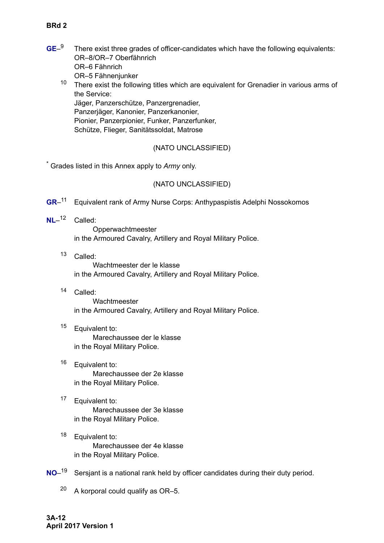- **GE**–<sup>9</sup> There exist three grades of officer-candidates which have the following equivalents: OR–8/OR–7 Oberfähnrich OR–6 Fähnrich OR–5 Fähnenjunker
	- <sup>10</sup> There exist the following titles which are equivalent for Grenadier in various arms of the Service:

Jäger, Panzerschütze, Panzergrenadier, Panzerjäger, Kanonier, Panzerkanonier, Pionier, Panzerpionier, Funker, Panzerfunker, Schütze, Flieger, Sanitätssoldat, Matrose

# (NATO UNCLASSIFIED)

\* Grades listed in this Annex apply to *Army* only.

# (NATO UNCLASSIFIED)

- **GR**–<sup>11</sup> Equivalent rank of Army Nurse Corps: Anthypaspistis Adelphi Nossokomos
- **NL**–<sup>12</sup> Called: Opperwachtmeester in the Armoured Cavalry, Artillery and Royal Military Police.
	- <sup>13</sup> Called:

Wachtmeester der le klasse in the Armoured Cavalry, Artillery and Royal Military Police.

<sup>14</sup> Called:

Wachtmeester in the Armoured Cavalry, Artillery and Royal Military Police.

<sup>15</sup> Equivalent to: Marechaussee der le klasse

in the Royal Military Police.

- <sup>16</sup> Equivalent to: Marechaussee der 2e klasse in the Royal Military Police.
- <sup>17</sup> Equivalent to: Marechaussee der 3e klasse in the Royal Military Police.
- <sup>18</sup> Equivalent to: Marechaussee der 4e klasse in the Royal Military Police.
- **NO**–<sup>19</sup> Sersjant is a national rank held by officer candidates during their duty period.
	- $20$  A korporal could qualify as OR-5.